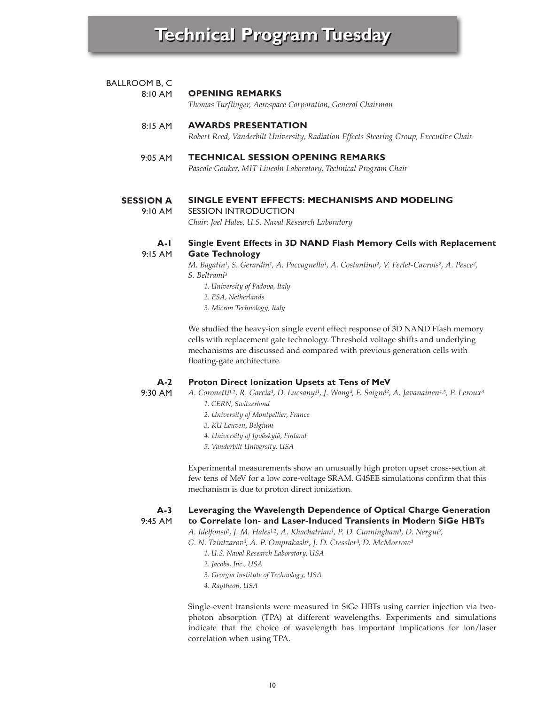| <b>BALLROOM B, C</b> |                                                                                       |
|----------------------|---------------------------------------------------------------------------------------|
| $8:10$ AM            | <b>OPENING REMARKS</b>                                                                |
|                      | Thomas Turflinger, Aerospace Corporation, General Chairman                            |
| $8:15$ AM            | <b>AWARDS PRESENTATION</b>                                                            |
|                      | Robert Reed, Vanderbilt University, Radiation Effects Steering Group, Executive Chair |
| $9:05$ AM            | <b>TECHNICAL SESSION OPENING REMARKS</b>                                              |
|                      | Pascale Gouker, MIT Lincoln Laboratory, Technical Program Chair                       |

### **SESSION A SINGLE EVENT EFFECTS: MECHANISMS AND MODELING**

9:10 AM

## SESSION INTRODUCTION *Chair: Joel Hales, U.S. Naval Research Laboratory*

#### **A-1** 9:15 AM **Single Event Effects in 3D NAND Flash Memory Cells with Replacement Gate Technology**

*M. Bagatin<sup>1</sup>, S. Gerardin<sup>1</sup>, A. Paccagnella<sup>1</sup>, A. Costantino<sup>2</sup>, V. Ferlet-Cavrois<sup>2</sup>, A. Pesce<sup>2</sup>, S. Beltrami3*

- *1. University of Padova, Italy*
- *2. ESA, Netherlands*
- *3. Micron Technology, Italy*

We studied the heavy-ion single event effect response of 3D NAND Flash memory cells with replacement gate technology. Threshold voltage shifts and underlying mechanisms are discussed and compared with previous generation cells with floating-gate architecture.

### **A-2 Proton Direct Ionization Upsets at Tens of MeV**

9:30 AM

# A. Coronetti<sup>1,2</sup>, R. Garcia<sup>1</sup>, D. Lucsanyi<sup>1</sup>, J. Wang<sup>3</sup>, F. Saigné<sup>2</sup>, A. Javanainen<sup>4,5</sup>, P. Leroux<sup>3</sup>

- *1. CERN, Switzerland*
- *2. University of Montpellier, France*
- *3. KU Leuven, Belgium*
- *4. University of Jyväskylä, Finland*
- *5. Vanderbilt University, USA*

Experimental measurements show an unusually high proton upset cross-section at few tens of MeV for a low core-voltage SRAM. G4SEE simulations confirm that this mechanism is due to proton direct ionization.

#### **A-3** 9:45 AM **Leveraging the Wavelength Dependence of Optical Charge Generation to Correlate Ion- and Laser-Induced Transients in Modern SiGe HBTs**

A. Idelfonso<sup>1</sup>, J. M. Hales<sup>1,2</sup>, A. Khachatrian<sup>1</sup>, P. D. Cunningham<sup>1</sup>, D. Nergui<sup>3</sup>,

G. N. Tzintzarov<sup>3</sup>, A. P. Omprakash<sup>4</sup>, J. D. Cressler<sup>3</sup>, D. McMorrow<sup>1</sup>

- *1. U.S. Naval Research Laboratory, USA*
- *2. Jacobs, Inc., USA*
- *3. Georgia Institute of Technology, USA*
- *4. Raytheon, USA*

Single-event transients were measured in SiGe HBTs using carrier injection via twophoton absorption (TPA) at different wavelengths. Experiments and simulations indicate that the choice of wavelength has important implications for ion/laser correlation when using TPA.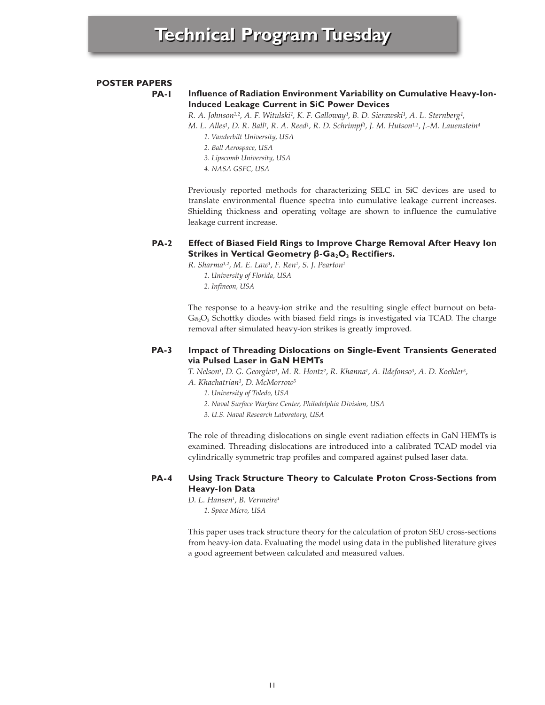# **POSTER PAPERS**

**PA-1**

# **Influence of Radiation Environment Variability on Cumulative Heavy-Ion-Induced Leakage Current in SiC Power Devices**

R. A. Johnson<sup>1,2</sup>, A. F. Witulski<sup>1</sup>, K. F. Galloway<sup>1</sup>, B. D. Sierawski<sup>1</sup>, A. L. Sternberg<sup>1</sup>,

*M. L. Alles1, D. R. Ball1, R. A. Reed1, R. D. Schrimpf1, J. M. Hutson1,3, J.-M. Lauenstein4*

- *1. Vanderbilt University, USA*
- *2. Ball Aerospace, USA*
- *3. Lipscomb University, USA*
- *4. NASA GSFC, USA*

Previously reported methods for characterizing SELC in SiC devices are used to translate environmental fluence spectra into cumulative leakage current increases. Shielding thickness and operating voltage are shown to influence the cumulative leakage current increase.

## **PA-2 Effect of Biased Field Rings to Improve Charge Removal After Heavy Ion Strikes in Vertical Geometry β-Ga<sub>2</sub>O<sub>3</sub> Rectifiers.**

*R. Sharma1,2, M. E. Law1, F. Ren1, S. J. Pearton1*

*1. University of Florida, USA 2. Infineon, USA*

The response to a heavy-ion strike and the resulting single effect burnout on beta- $Ga<sub>2</sub>O<sub>3</sub>$  Schottky diodes with biased field rings is investigated via TCAD. The charge removal after simulated heavy-ion strikes is greatly improved.

## **PA-3 Impact of Threading Dislocations on Single-Event Transients Generated via Pulsed Laser in GaN HEMTs**

*T. Nelson1, D. G. Georgiev1, M. R. Hontz2, R. Khanna1, A. Ildefonso3, A. D. Koehler3,*

- *A. Khachatrian3, D. McMorrow3*
	- *1. University of Toledo, USA*
	- *2. Naval Surface Warfare Center, Philadelphia Division, USA*
	- *3. U.S. Naval Research Laboratory, USA*

The role of threading dislocations on single event radiation effects in GaN HEMTs is examined. Threading dislocations are introduced into a calibrated TCAD model via cylindrically symmetric trap profiles and compared against pulsed laser data.

## **PA-4 Using Track Structure Theory to Calculate Proton Cross-Sections from Heavy-Ion Data**

*D. L. Hansen1, B. Vermeire1 1. Space Micro, USA*

This paper uses track structure theory for the calculation of proton SEU cross-sections from heavy-ion data. Evaluating the model using data in the published literature gives a good agreement between calculated and measured values.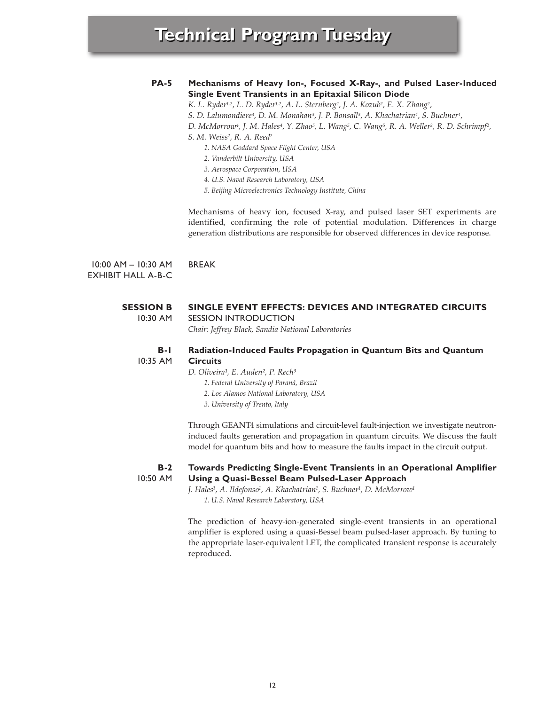### **PA-5 Mechanisms of Heavy Ion-, Focused X-Ray-, and Pulsed Laser-Induced Single Event Transients in an Epitaxial Silicon Diode**

*K. L. Ryder1,2, L. D. Ryder1,2, A. L. Sternberg2, J. A. Kozub2, E. X. Zhang2,*

*S. D. Lalumondiere3, D. M. Monahan3, J. P. Bonsall3, A. Khachatrian4, S. Buchner4,*

*D. McMorrow4, J. M. Hales4, Y. Zhao5, L. Wang5, C. Wang5, R. A. Weller2, R. D. Schrimpf2,* 

*S. M. Weiss2, R. A. Reed2*

- *1. NASA Goddard Space Flight Center, USA*
- *2. Vanderbilt University, USA*
- *3. Aerospace Corporation, USA*
- *4. U.S. Naval Research Laboratory, USA*

*5. Beijing Microelectronics Technology Institute, China*

Mechanisms of heavy ion, focused X-ray, and pulsed laser SET experiments are identified, confirming the role of potential modulation. Differences in charge generation distributions are responsible for observed differences in device response.

10:00 AM – 10:30 AM EXHIBIT HALL A-B-C BREAK

### **SESSION B** 10:30 AM **SINGLE EVENT EFFECTS: DEVICES AND INTEGRATED CIRCUITS** SESSION INTRODUCTION

*Chair: Jeffrey Black, Sandia National Laboratories*

#### **B-1** 10:35 AM **Radiation-Induced Faults Propagation in Quantum Bits and Quantum Circuits**

*D. Oliveira¹, E. Auden², P. Rech³*

- *1. Federal University of Paraná, Brazil*
- *2. Los Alamos National Laboratory, USA*
- *3. University of Trento, Italy*

Through GEANT4 simulations and circuit-level fault-injection we investigate neutroninduced faults generation and propagation in quantum circuits. We discuss the fault model for quantum bits and how to measure the faults impact in the circuit output.

### **B-2** 10:50 AM **Towards Predicting Single-Event Transients in an Operational Amplifier Using a Quasi-Bessel Beam Pulsed-Laser Approach**

*J. Hales1, A. Ildefonso1, A. Khachatrian1, S. Buchner1, D. McMorrow1 1. U.S. Naval Research Laboratory, USA*

The prediction of heavy-ion-generated single-event transients in an operational amplifier is explored using a quasi-Bessel beam pulsed-laser approach. By tuning to the appropriate laser-equivalent LET, the complicated transient response is accurately reproduced.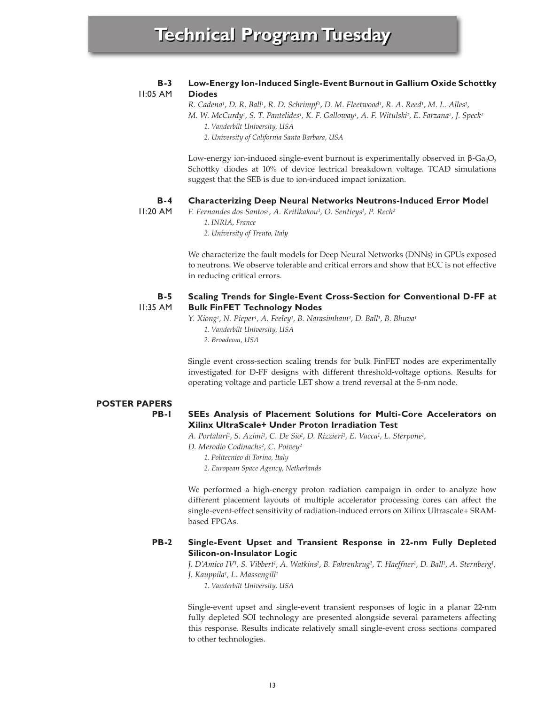### **B-3 Low-Energy Ion-Induced Single-Event Burnout in Gallium Oxide Schottky Diodes**

11:05 AM

*R. Cadena1, D. R. Ball1, R. D. Schrimpf1, D. M. Fleetwood1, R. A. Reed1, M. L. Alles1,*

*M. W. McCurdy1, S. T. Pantelides1, K. F. Galloway1, A. F. Witulski1, E. Farzana2, J. Speck2 1. Vanderbilt University, USA*

*2. University of California Santa Barbara, USA*

Low-energy ion-induced single-event burnout is experimentally observed in  $\beta$ -Ga<sub>2</sub>O<sub>3</sub> Schottky diodes at 10% of device lectrical breakdown voltage. TCAD simulations suggest that the SEB is due to ion-induced impact ionization.

#### **B-4 Characterizing Deep Neural Networks Neutrons-Induced Error Model**

11:20 AM

- *F. Fernandes dos Santos1, A. Kritikakou1, O. Sentieys1, P. Rech2 1. INRIA, France*
	- *2. University of Trento, Italy*

We characterize the fault models for Deep Neural Networks (DNNs) in GPUs exposed to neutrons. We observe tolerable and critical errors and show that ECC is not effective in reducing critical errors.

### **B-5** 11:35 AM **Scaling Trends for Single-Event Cross-Section for Conventional D-FF at Bulk FinFET Technology Nodes**

*Y. Xiong1, N. Pieper1, A. Feeley1, B. Narasimham2, D. Ball1, B. Bhuva1*

- *1. Vanderbilt University, USA*
- *2. Broadcom, USA*

Single event cross-section scaling trends for bulk FinFET nodes are experimentally investigated for D-FF designs with different threshold-voltage options. Results for operating voltage and particle LET show a trend reversal at the 5-nm node.

# **POSTER PAPERS**

**PB-1**

# **SEEs Analysis of Placement Solutions for Multi-Core Accelerators on Xilinx UltraScale+ Under Proton Irradiation Test**

*A. Portaluri1, S. Azimi1, C. De Sio1, D. Rizzieri1, E. Vacca1, L. Sterpone1,*

*D. Merodio Codinachs2, C. Poivey2*

- *1. Politecnico di Torino, Italy*
- *2. European Space Agency, Netherlands*

We performed a high-energy proton radiation campaign in order to analyze how different placement layouts of multiple accelerator processing cores can affect the single-event-effect sensitivity of radiation-induced errors on Xilinx Ultrascale+ SRAMbased FPGAs.

### **PB-2 Single-Event Upset and Transient Response in 22-nm Fully Depleted Silicon-on-Insulator Logic**

*J. D'Amico IV1, S. Vibbert1, A. Watkins1, B. Fahrenkrug1, T. Haeffner1, D. Ball1, A. Sternberg1, J. Kauppila1, L. Massengill1*

*1. Vanderbilt University, USA*

Single-event upset and single-event transient responses of logic in a planar 22-nm fully depleted SOI technology are presented alongside several parameters affecting this response. Results indicate relatively small single-event cross sections compared to other technologies.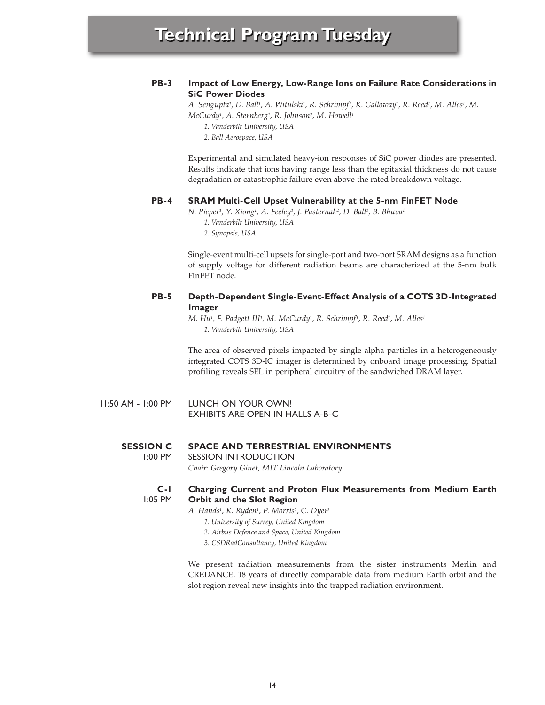## **PB-3 Impact of Low Energy, Low-Range Ions on Failure Rate Considerations in SiC Power Diodes**

*A. Sengupta1, D. Ball1, A. Witulski1, R. Schrimpf1, K. Galloway1, R. Reed1, M. Alles1, M. McCurdy1, A. Sternberg1, R. Johnson2, M. Howell1*

*1. Vanderbilt University, USA*

*2. Ball Aerospace, USA*

Experimental and simulated heavy-ion responses of SiC power diodes are presented. Results indicate that ions having range less than the epitaxial thickness do not cause degradation or catastrophic failure even above the rated breakdown voltage.

### **PB-4 SRAM Multi-Cell Upset Vulnerability at the 5-nm FinFET Node**

*N. Pieper1, Y. Xiong1, A. Feeley1, J. Pasternak2, D. Ball1, B. Bhuva1*

- *1. Vanderbilt University, USA*
- *2. Synopsis, USA*

Single-event multi-cell upsets for single-port and two-port SRAM designs as a function of supply voltage for different radiation beams are characterized at the 5-nm bulk FinFET node.

## **PB-5 Depth-Dependent Single-Event-Effect Analysis of a COTS 3D-Integrated Imager**

*M. Hu1, F. Padgett III1, M. McCurdy1, R. Schrimpf1, R. Reed1, M. Alles1 1. Vanderbilt University, USA*

The area of observed pixels impacted by single alpha particles in a heterogeneously integrated COTS 3D-IC imager is determined by onboard image processing. Spatial profiling reveals SEL in peripheral circuitry of the sandwiched DRAM layer.

11:50 AM - 1:00 PM LUNCH ON YOUR OWN! EXHIBITS ARE OPEN IN HALLS A-B-C

#### **SESSION C SPACE AND TERRESTRIAL ENVIRONMENTS**

1:00 PM SESSION INTRODUCTION

*Chair: Gregory Ginet, MIT Lincoln Laboratory*

### **C-1** 1:05 PM **Charging Current and Proton Flux Measurements from Medium Earth Orbit and the Slot Region**

- *A. Hands1, K. Ryden1, P. Morris2, C. Dyer3*
	- *1. University of Surrey, United Kingdom*
	- *2. Airbus Defence and Space, United Kingdom*
	- *3. CSDRadConsultancy, United Kingdom*

We present radiation measurements from the sister instruments Merlin and CREDANCE. 18 years of directly comparable data from medium Earth orbit and the slot region reveal new insights into the trapped radiation environment.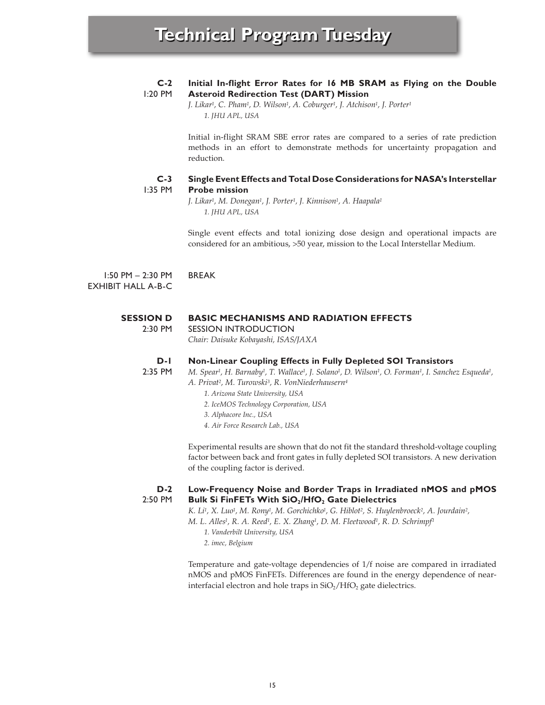### **C-2** 1:20 PM **Initial In-flight Error Rates for 16 MB SRAM as Flying on the Double Asteroid Redirection Test (DART) Mission**

*J. Likar1, C. Pham1, D. Wilson1, A. Coburger1, J. Atchison1, J. Porter1 1. JHU APL, USA*

Initial in-flight SRAM SBE error rates are compared to a series of rate prediction methods in an effort to demonstrate methods for uncertainty propagation and reduction.

#### **C-3** 1:35 PM **Single Event Effects and Total Dose Considerations for NASA's Interstellar Probe mission**

*J. Likar1, M. Donegan1, J. Porter1, J. Kinnison1, A. Haapala1 1. JHU APL, USA*

Single event effects and total ionizing dose design and operational impacts are considered for an ambitious, >50 year, mission to the Local Interstellar Medium.

1:50 PM – 2:30 PM EXHIBIT HALL A-B-C BREAK

### **SESSION D BASIC MECHANISMS AND RADIATION EFFECTS**

2:30 PM SESSION INTRODUCTION *Chair: Daisuke Kobayashi, ISAS/JAXA*

#### **D-1 Non-Linear Coupling Effects in Fully Depleted SOI Transistors**

2:35 PM

- *M. Spear1, H. Barnaby1, T. Wallace1, J. Solano1, D. Wilson1, O. Forman1, I. Sanchez Esqueda1, A. Privat2, M. Turowski3, R. VonNiederhausern4*
	- *1. Arizona State University, USA*
	- *2. IceMOS Technology Corporation, USA*
	- *3. Alphacore Inc., USA*
	- *4. Air Force Research Lab., USA*

Experimental results are shown that do not fit the standard threshold-voltage coupling factor between back and front gates in fully depleted SOI transistors. A new derivation of the coupling factor is derived.

### **D-2** 2:50 PM **Low-Frequency Noise and Border Traps in Irradiated nMOS and pMOS Bulk Si FinFETs With SiO<sub>2</sub>/HfO<sub>2</sub> Gate Dielectrics**

*K. Li1, X. Luo1, M. Rony1, M. Gorchichko1, G. Hiblot2, S. Huylenbroeck2, A. Jourdain2,*

*M. L. Alles1, R. A. Reed1, E. X. Zhang1, D. M. Fleetwood1, R. D. Schrimpf1*

- *1. Vanderbilt University, USA*
- *2. imec, Belgium*

Temperature and gate-voltage dependencies of 1/f noise are compared in irradiated nMOS and pMOS FinFETs. Differences are found in the energy dependence of nearinterfacial electron and hole traps in  $SiO<sub>2</sub>/HfO<sub>2</sub>$  gate dielectrics.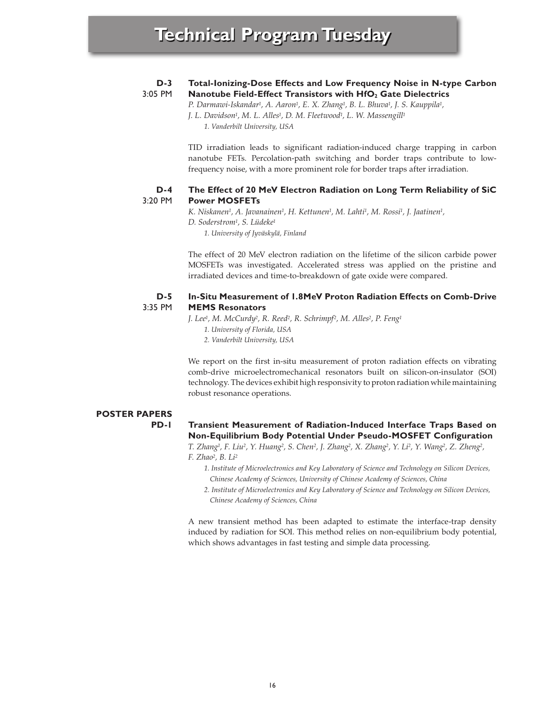#### **D-3** 3:05 PM **Total-Ionizing-Dose Effects and Low Frequency Noise in N-type Carbon Nanotube Field-Effect Transistors with HfO<sub>2</sub> Gate Dielectrics**

*P. Darmawi-Iskandar1, A. Aaron1, E. X. Zhang1, B. L. Bhuva1, J. S. Kauppila1, J. L. Davidson1, M. L. Alles1, D. M. Fleetwood1, L. W. Massengill1 1. Vanderbilt University, USA*

TID irradiation leads to significant radiation-induced charge trapping in carbon nanotube FETs. Percolation-path switching and border traps contribute to lowfrequency noise, with a more prominent role for border traps after irradiation.

### **D-4** 3:20 PM **The Effect of 20 MeV Electron Radiation on Long Term Reliability of SiC Power MOSFETs**

*K. Niskanen1, A. Javanainen1, H. Kettunen1, M. Lahti1, M. Rossi1, J. Jaatinen1, D. Soderstrom1, S. Lüdeke1 1. University of Jyväskylä, Finland*

The effect of 20 MeV electron radiation on the lifetime of the silicon carbide power MOSFETs was investigated. Accelerated stress was applied on the pristine and irradiated devices and time-to-breakdown of gate oxide were compared.

### **D-5** 3:35 PM **In-Situ Measurement of 1.8MeV Proton Radiation Effects on Comb-Drive MEMS Resonators**

*J. Lee1, M. McCurdy2, R. Reed2, R. Schrimpf2, M. Alles2, P. Feng1*

- *1. University of Florida, USA*
- *2. Vanderbilt University, USA*

We report on the first in-situ measurement of proton radiation effects on vibrating comb-drive microelectromechanical resonators built on silicon-on-insulator (SOI) technology. The devices exhibit high responsivity to proton radiation while maintaining robust resonance operations.

# **POSTER PAPERS PD-1**

# **Transient Measurement of Radiation-Induced Interface Traps Based on Non-Equilibrium Body Potential Under Pseudo-MOSFET Configuration**

*T. Zhang1, F. Liu2, Y. Huang2, S. Chen2, J. Zhang2, X. Zhang2, Y. Li2, Y. Wang2, Z. Zheng2, F. Zhao2, B. Li2*

- *1. Institute of Microelectronics and Key Laboratory of Science and Technology on Silicon Devices, Chinese Academy of Sciences, University of Chinese Academy of Sciences, China*
- *2. Institute of Microelectronics and Key Laboratory of Science and Technology on Silicon Devices, Chinese Academy of Sciences, China*

A new transient method has been adapted to estimate the interface-trap density induced by radiation for SOI. This method relies on non-equilibrium body potential, which shows advantages in fast testing and simple data processing.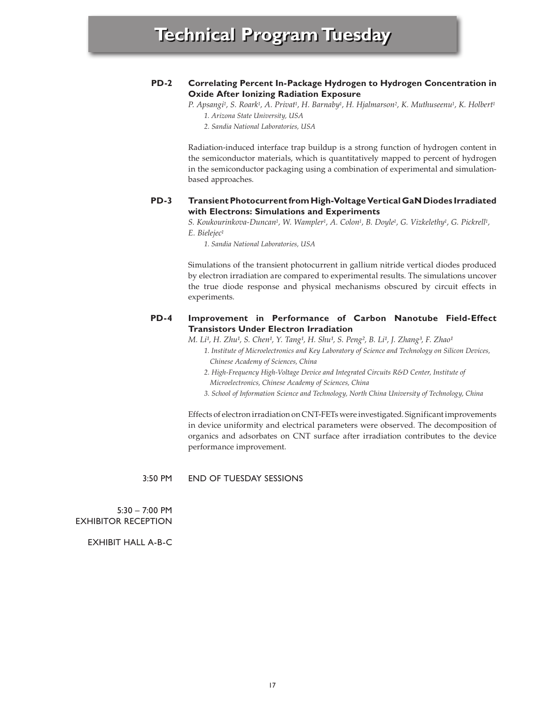## **PD-2 Correlating Percent In-Package Hydrogen to Hydrogen Concentration in Oxide After Ionizing Radiation Exposure**

*P. Apsangi1, S. Roark1, A. Privat1, H. Barnaby1, H. Hjalmarson2, K. Muthuseenu1, K. Holbert1 1. Arizona State University, USA*

*2. Sandia National Laboratories, USA*

Radiation-induced interface trap buildup is a strong function of hydrogen content in the semiconductor materials, which is quantitatively mapped to percent of hydrogen in the semiconductor packaging using a combination of experimental and simulationbased approaches.

### **PD-3 Transient Photocurrent from High-Voltage Vertical GaN Diodes Irradiated with Electrons: Simulations and Experiments**

*S. Koukourinkova-Duncan1, W. Wampler1, A. Colon1, B. Doyle1, G. Vizkelethy1, G. Pickrell1, E. Bielejec1*

*1. Sandia National Laboratories, USA*

Simulations of the transient photocurrent in gallium nitride vertical diodes produced by electron irradiation are compared to experimental results. The simulations uncover the true diode response and physical mechanisms obscured by circuit effects in experiments.

## **PD-4 Improvement in Performance of Carbon Nanotube Field-Effect Transistors Under Electron Irradiation**

*M. Li<sup>1</sup>, H. Zhu<sup>1</sup>, S. Chen<sup>1</sup>, Y. Tang<sup>1</sup>, H. Shu<sup>1</sup>, S. Peng<sup>2</sup>, B. Li<sup>1</sup>, J. Zhang<sup>3</sup>, F. Zhao<sup>1</sup>* 

- *1. Institute of Microelectronics and Key Laboratory of Science and Technology on Silicon Devices, Chinese Academy of Sciences, China*
- *2. High-Frequency High-Voltage Device and Integrated Circuits R&D Center, Institute of Microelectronics, Chinese Academy of Sciences, China*
- *3. School of Information Science and Technology, North China University of Technology, China*

Effects of electron irradiation on CNT-FETs were investigated. Significant improvements in device uniformity and electrical parameters were observed. The decomposition of organics and adsorbates on CNT surface after irradiation contributes to the device performance improvement.

3:50 PM END OF TUESDAY SESSIONS

5:30 – 7:00 PM EXHIBITOR RECEPTION

EXHIBIT HALL A-B-C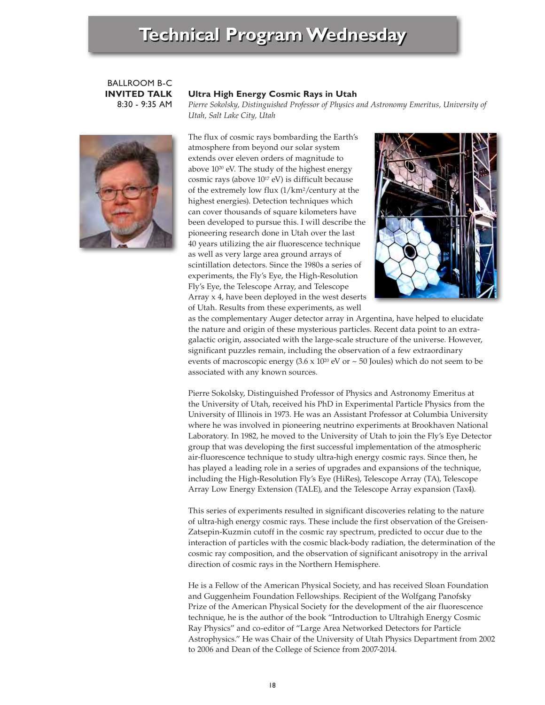BALLROOM B-C **INVITED TALK** 8:30 - 9:35 AM

# **Ultra High Energy Cosmic Rays in Utah**

*Pierre Sokolsky, Distinguished Professor of Physics and Astronomy Emeritus, University of Utah, Salt Lake City, Utah* 



The flux of cosmic rays bombarding the Earth's atmosphere from beyond our solar system extends over eleven orders of magnitude to above 1020 eV. The study of the highest energy cosmic rays (above 1017 eV) is difficult because of the extremely low flux (1/km2/century at the highest energies). Detection techniques which can cover thousands of square kilometers have been developed to pursue this. I will describe the pioneering research done in Utah over the last 40 years utilizing the air fluorescence technique as well as very large area ground arrays of scintillation detectors. Since the 1980s a series of experiments, the Fly's Eye, the High-Resolution Fly's Eye, the Telescope Array, and Telescope Array x 4, have been deployed in the west deserts of Utah. Results from these experiments, as well



as the complementary Auger detector array in Argentina, have helped to elucidate the nature and origin of these mysterious particles. Recent data point to an extragalactic origin, associated with the large-scale structure of the universe. However, significant puzzles remain, including the observation of a few extraordinary events of macroscopic energy  $(3.6 \times 10^{20} \text{ eV} \text{ or } \sim 50 \text{ Joules})$  which do not seem to be associated with any known sources.

Pierre Sokolsky, Distinguished Professor of Physics and Astronomy Emeritus at the University of Utah, received his PhD in Experimental Particle Physics from the University of Illinois in 1973. He was an Assistant Professor at Columbia University where he was involved in pioneering neutrino experiments at Brookhaven National Laboratory. In 1982, he moved to the University of Utah to join the Fly's Eye Detector group that was developing the first successful implementation of the atmospheric air-fluorescence technique to study ultra-high energy cosmic rays. Since then, he has played a leading role in a series of upgrades and expansions of the technique, including the High-Resolution Fly's Eye (HiRes), Telescope Array (TA), Telescope Array Low Energy Extension (TALE), and the Telescope Array expansion (Tax4).

This series of experiments resulted in significant discoveries relating to the nature of ultra-high energy cosmic rays. These include the first observation of the Greisen-Zatsepin-Kuzmin cutoff in the cosmic ray spectrum, predicted to occur due to the interaction of particles with the cosmic black-body radiation, the determination of the cosmic ray composition, and the observation of significant anisotropy in the arrival direction of cosmic rays in the Northern Hemisphere.

He is a Fellow of the American Physical Society, and has received Sloan Foundation and Guggenheim Foundation Fellowships. Recipient of the Wolfgang Panofsky Prize of the American Physical Society for the development of the air fluorescence technique, he is the author of the book "Introduction to Ultrahigh Energy Cosmic Ray Physics" and co-editor of "Large Area Networked Detectors for Particle Astrophysics." He was Chair of the University of Utah Physics Department from 2002 to 2006 and Dean of the College of Science from 2007-2014.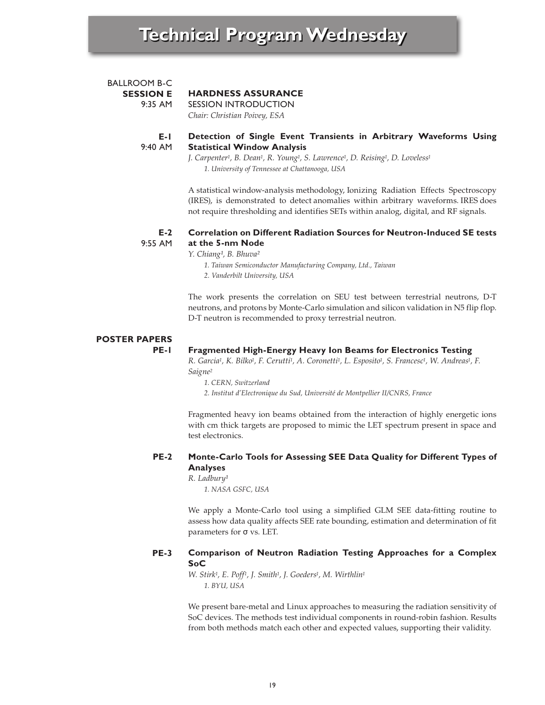| E-L              | Detection of Single Event Transients in Arbitrary Waveforms Using |
|------------------|-------------------------------------------------------------------|
| 9:40 AM          | <b>Statistical Window Analysis</b>                                |
| BALLROOM B-C     | <b>HARDNESS ASSURANCE</b>                                         |
| <b>SESSION E</b> | SESSION INTRODUCTION                                              |
| $9.35$ AM        | Chair: Christian Poivey, ESA                                      |

# **Statistical Window Analysis** *J. Carpenter1, B. Dean1, R. Young1, S. Lawrence1, D. Reising1, D. Loveless1*

*1. University of Tennessee at Chattanooga, USA*

A statistical window-analysis methodology, Ionizing Radiation Effects Spectroscopy (IRES), is demonstrated to detect anomalies within arbitrary waveforms. IRES does not require thresholding and identifies SETs within analog, digital, and RF signals.

### **E-2** 9:55 AM **Correlation on Different Radiation Sources for Neutron-Induced SE tests at the 5-nm Node**

*Y. Chiang¹, B. Bhuva²*

- *1. Taiwan Semiconductor Manufacturing Company, Ltd., Taiwan*
- *2. Vanderbilt University, USA*

The work presents the correlation on SEU test between terrestrial neutrons, D-T neutrons, and protons by Monte-Carlo simulation and silicon validation in N5 flip flop. D-T neutron is recommended to proxy terrestrial neutron.

# **POSTER PAPERS**

**PE-1**

# **Fragmented High-Energy Heavy Ion Beams for Electronics Testing**

*R. Garcia1, K. Bilko1, F. Cerutti1, A. Coronetti1, L. Esposito1, S. Francesc1, W. Andreas1, F. Saigne2*

*1. CERN, Switzerland*

*2. Institut d'Electronique du Sud, Université de Montpellier II/CNRS, France*

Fragmented heavy ion beams obtained from the interaction of highly energetic ions with cm thick targets are proposed to mimic the LET spectrum present in space and test electronics.

## **PE-2 Monte-Carlo Tools for Assessing SEE Data Quality for Different Types of Analyses**

*R. Ladbury¹*

*1. NASA GSFC, USA*

We apply a Monte-Carlo tool using a simplified GLM SEE data-fitting routine to assess how data quality affects SEE rate bounding, estimation and determination of fit parameters for σ vs. LET.

## **PE-3 Comparison of Neutron Radiation Testing Approaches for a Complex SoC**

*W. Stirk1, E. Poff1, J. Smith1, J. Goeders1, M. Wirthlin1 1. BYU, USA*

We present bare-metal and Linux approaches to measuring the radiation sensitivity of SoC devices. The methods test individual components in round-robin fashion. Results from both methods match each other and expected values, supporting their validity.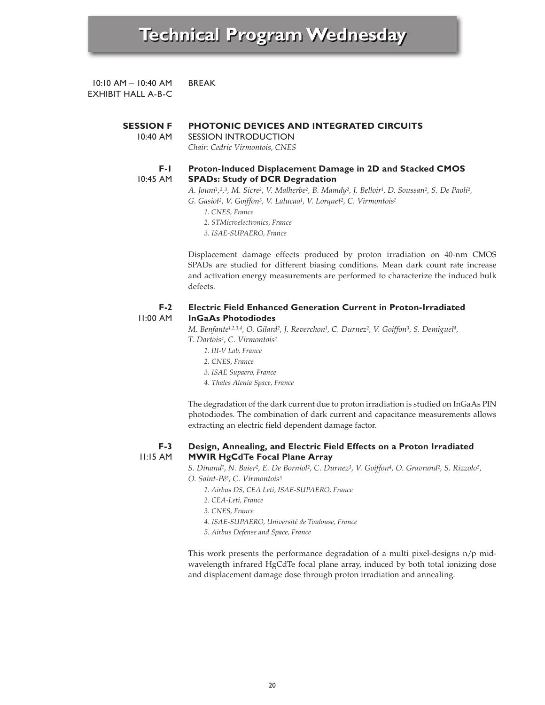10:10 AM – 10:40 AM EXHIBIT HALL A-B-C BREAK

### **SESSION F PHOTONIC DEVICES AND INTEGRATED CIRCUITS**

10:40 AM SESSION INTRODUCTION

*Chair: Cedric Virmontois, CNES*

### **F-1** 10:45 AM **Proton-Induced Displacement Damage in 2D and Stacked CMOS SPADs: Study of DCR Degradation**

*A. Jouni1,2,3, M. Sicre2, V. Malherbe2, B. Mamdy2, J. Belloir1, D. Soussan2, S. De Paoli2,*

*G. Gasiot2, V. Goiffon3, V. Lalucaa1, V. Lorquet2, C. Virmontois1*

- *1. CNES, France*
- *2. STMicroelectronics, France*
- *3. ISAE-SUPAERO, France*

Displacement damage effects produced by proton irradiation on 40-nm CMOS SPADs are studied for different biasing conditions. Mean dark count rate increase and activation energy measurements are performed to characterize the induced bulk defects.

### **F-2** 11:00 AM **Electric Field Enhanced Generation Current in Proton-Irradiated InGaAs Photodiodes**

*M. Benfante1,2,3,4, O. Gilard2, J. Reverchon1, C. Durnez2, V. Goiffon3, S. Demiguel4, T. Dartois4, C. Virmontois2*

- *1. III-V Lab, France*
- *2. CNES, France*
- *3. ISAE Supaero, France*
- 

*4. Thales Alenia Space, France*

The degradation of the dark current due to proton irradiation is studied on InGaAs PIN photodiodes. The combination of dark current and capacitance measurements allows extracting an electric field dependent damage factor.

### **F-3** 11:15 AM **Design, Annealing, and Electric Field Effects on a Proton Irradiated MWIR HgCdTe Focal Plane Array**

*S. Dinand1, N. Baier2, E. De Borniol2, C. Durnez3, V. Goiffon4, O. Gravrand2, S. Rizzolo5, O. Saint-Pé5, C. Virmontois3*

- *1. Airbus DS, CEA Leti, ISAE-SUPAERO, France*
- *2. CEA-Leti, France*
- *3. CNES, France*
- *4. ISAE-SUPAERO, Université de Toulouse, France*
- *5. Airbus Defense and Space, France*

This work presents the performance degradation of a multi pixel-designs n/p midwavelength infrared HgCdTe focal plane array, induced by both total ionizing dose and displacement damage dose through proton irradiation and annealing.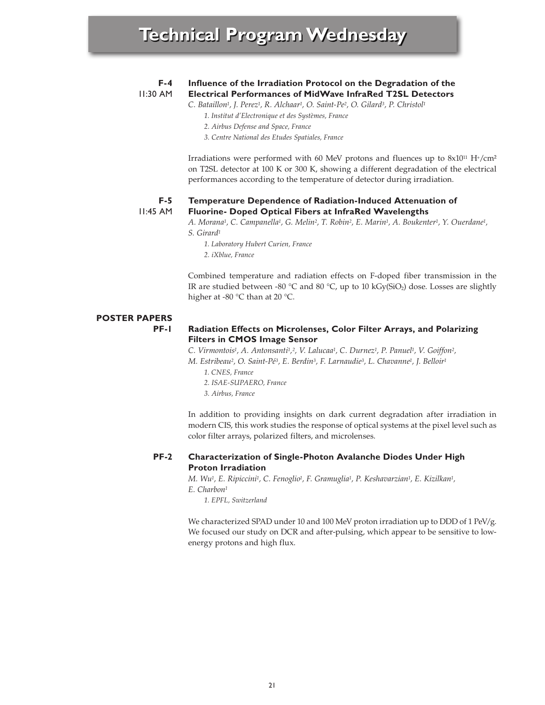| $F-4$           | Influence of the Irradiation Protocol on the Degradation of the                                                                                                                                                                                                                      |  |
|-----------------|--------------------------------------------------------------------------------------------------------------------------------------------------------------------------------------------------------------------------------------------------------------------------------------|--|
| $II:30$ AM      | <b>Electrical Performances of MidWave InfraRed T2SL Detectors</b>                                                                                                                                                                                                                    |  |
|                 | C. Bataillon <sup>1</sup> , J. Perez <sup>1</sup> , R. Alchaar <sup>1</sup> , O. Saint-Pe <sup>2</sup> , O. Gilard <sup>3</sup> , P. Christol <sup>1</sup>                                                                                                                           |  |
|                 | 1. Institut d'Electronique et des Systèmes, France                                                                                                                                                                                                                                   |  |
|                 | 2. Airbus Defense and Space, France                                                                                                                                                                                                                                                  |  |
|                 | 3. Centre National des Etudes Spatiales, France                                                                                                                                                                                                                                      |  |
|                 | Irradiations were performed with 60 MeV protons and fluences up to $8x10^{11}$ H <sup>+</sup> /cm <sup>2</sup><br>on T2SL detector at 100 K or 300 K, showing a different degradation of the electrical<br>performances according to the temperature of detector during irradiation. |  |
| $F-5$           | <b>Temperature Dependence of Radiation-Induced Attenuation of</b>                                                                                                                                                                                                                    |  |
| <b>II:45 AM</b> | Fluorine- Doped Optical Fibers at InfraRed Wavelengths                                                                                                                                                                                                                               |  |
|                 | A. Morana <sup>1</sup> , C. Campanella <sup>1</sup> , G. Melin <sup>2</sup> , T. Robin <sup>2</sup> , E. Marin <sup>1</sup> , A. Boukenter <sup>1</sup> , Y. Ouerdane <sup>1</sup> ,                                                                                                 |  |
|                 | S. Girard <sup>1</sup>                                                                                                                                                                                                                                                               |  |
|                 | 1. Laboratory Hubert Curien, France                                                                                                                                                                                                                                                  |  |
|                 | 2. <i>iXblue</i> , <i>France</i>                                                                                                                                                                                                                                                     |  |

Combined temperature and radiation effects on F-doped fiber transmission in the IR are studied between -80 °C and 80 °C, up to 10  $kGy(SiO<sub>2</sub>)$  dose. Losses are slightly higher at -80 °C than at 20 °C.

# **POSTER PAPERS**

**PF-1**

# **Radiation Effects on Microlenses, Color Filter Arrays, and Polarizing Filters in CMOS Image Sensor**

*C. Virmontois1, A. Antonsanti1,2, V. Lalucaa1, C. Durnez1, P. Panuel1, V. Goiffon2,*

- *M. Estribeau2, O. Saint-Pé3, E. Berdin3, F. Larnaudie3, L. Chavanne1, J. Belloir1*
	- *1. CNES, France*
	- *2. ISAE-SUPAERO, France*
	- *3. Airbus, France*

In addition to providing insights on dark current degradation after irradiation in modern CIS, this work studies the response of optical systems at the pixel level such as color filter arrays, polarized filters, and microlenses.

### **PF-2 Characterization of Single-Photon Avalanche Diodes Under High Proton Irradiation**

*M. Wu1, E. Ripiccini1, C. Fenoglio1, F. Gramuglia1, P. Keshavarzian1, E. Kizilkan1, E. Charbon1*

*1. EPFL, Switzerland*

We characterized SPAD under 10 and 100 MeV proton irradiation up to DDD of 1 PeV/g. We focused our study on DCR and after-pulsing, which appear to be sensitive to lowenergy protons and high flux.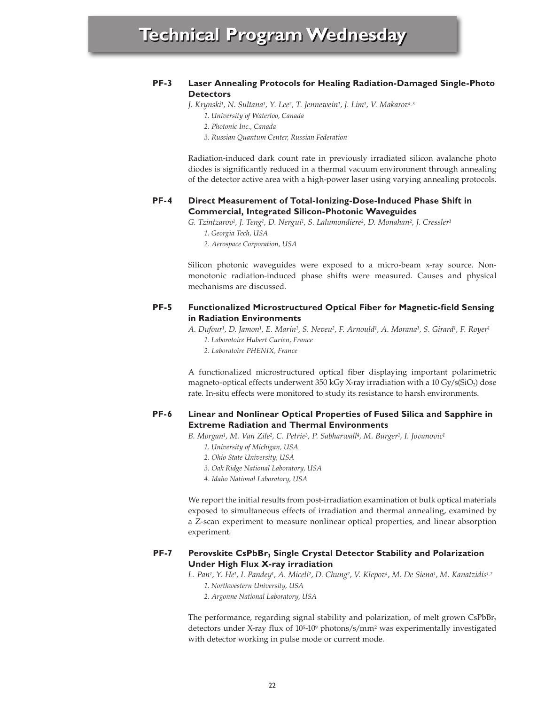## **PF-3 Laser Annealing Protocols for Healing Radiation-Damaged Single-Photo Detectors**

*J. Krynski1, N. Sultana1, Y. Lee2, T. Jennewein1, J. Lim1, V. Makarov1,3*

- *1. University of Waterloo, Canada*
- *2. Photonic Inc., Canada*
- *3. Russian Quantum Center, Russian Federation*

Radiation-induced dark count rate in previously irradiated silicon avalanche photo diodes is significantly reduced in a thermal vacuum environment through annealing of the detector active area with a high-power laser using varying annealing protocols.

## **PF-4 Direct Measurement of Total-Ionizing-Dose-Induced Phase Shift in Commercial, Integrated Silicon-Photonic Waveguides**

*G. Tzintzarov1, J. Teng1, D. Nergui1, S. Lalumondiere2, D. Monahan2, J. Cressler1*

*1. Georgia Tech, USA*

*2. Aerospace Corporation, USA*

Silicon photonic waveguides were exposed to a micro-beam x-ray source. Nonmonotonic radiation-induced phase shifts were measured. Causes and physical mechanisms are discussed.

### **PF-5 Functionalized Microstructured Optical Fiber for Magnetic-field Sensing in Radiation Environments**

*A. Dufour1, D. Jamon1, E. Marin1, S. Neveu2, F. Arnould1, A. Morana1, S. Girard1, F. Royer1*

- *1. Laboratoire Hubert Curien, France*
- *2. Laboratoire PHENIX, France*

A functionalized microstructured optical fiber displaying important polarimetric magneto-optical effects underwent 350 kGy X-ray irradiation with a 10 Gy/s( $SiO<sub>2</sub>$ ) dose rate. In-situ effects were monitored to study its resistance to harsh environments.

## **PF-6 Linear and Nonlinear Optical Properties of Fused Silica and Sapphire in Extreme Radiation and Thermal Environments**

*B. Morgan1, M. Van Zile2, C. Petrie3, P. Sabharwall4, M. Burger1, I. Jovanovic1*

- *1. University of Michigan, USA*
- *2. Ohio State University, USA*
- *3. Oak Ridge National Laboratory, USA*
- *4. Idaho National Laboratory, USA*

We report the initial results from post-irradiation examination of bulk optical materials exposed to simultaneous effects of irradiation and thermal annealing, examined by a Z-scan experiment to measure nonlinear optical properties, and linear absorption experiment.

## **PF-7** Perovskite CsPbBr<sub>3</sub> Single Crystal Detector Stability and Polarization **Under High Flux X-ray irradiation**

*L. Pan1, Y. He1, I. Pandey1, A. Miceli2, D. Chung2, V. Klepov1, M. De Siena1, M. Kanatzidis1,2*

- *1. Northwestern University, USA*
- *2. Argonne National Laboratory, USA*

The performance, regarding signal stability and polarization, of melt grown CsPbBr<sub>3</sub> detectors under X-ray flux of 105-109 photons/s/mm2 was experimentally investigated with detector working in pulse mode or current mode.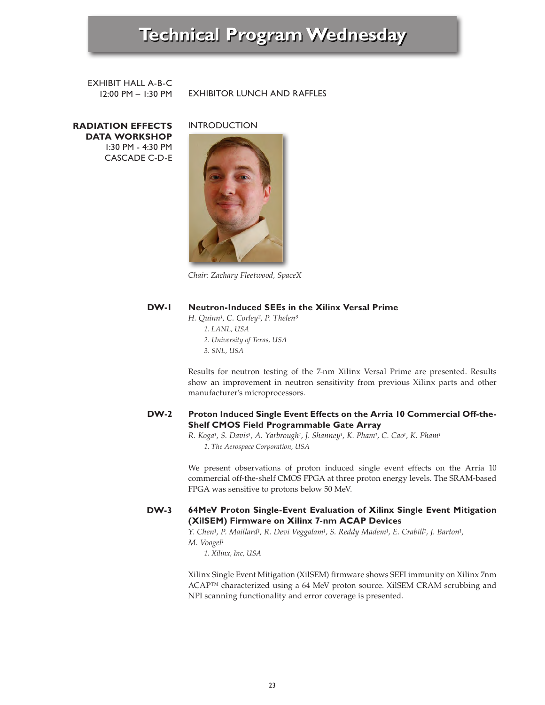EXHIBIT HALL A-B-C 12:00 PM – 1:30 PM

EXHIBITOR LUNCH AND RAFFLES

**RADIATION EFFECTS DATA WORKSHOP** 1:30 PM - 4:30 PM CASCADE C-D-E INTRODUCTION



*Chair: Zachary Fleetwood, SpaceX*

### **DW-1 Neutron-Induced SEEs in the Xilinx Versal Prime**

*H. Quinn¹, C. Corley², P. Thelen³*

- *1. LANL, USA*
- *2. University of Texas, USA*
- *3. SNL, USA*

Results for neutron testing of the 7-nm Xilinx Versal Prime are presented. Results show an improvement in neutron sensitivity from previous Xilinx parts and other manufacturer's microprocessors.

### **DW-2 Proton Induced Single Event Effects on the Arria 10 Commercial Off-the-Shelf CMOS Field Programmable Gate Array**

*R. Koga1, S. Davis1, A. Yarbrough1, J. Shanney1, K. Pham1, C. Cao1, K. Pham1 1. The Aerospace Corporation, USA*

We present observations of proton induced single event effects on the Arria 10 commercial off-the-shelf CMOS FPGA at three proton energy levels. The SRAM-based FPGA was sensitive to protons below 50 MeV.

## **DW-3 64MeV Proton Single-Event Evaluation of Xilinx Single Event Mitigation (XilSEM) Firmware on Xilinx 7-nm ACAP Devices**

*Y. Chen1, P. Maillard1, R. Devi Veggalam1, S. Reddy Madem1, E. Crabill1, J. Barton1, M. Voogel1*

*1. Xilinx, Inc, USA*

Xilinx Single Event Mitigation (XilSEM) firmware shows SEFI immunity on Xilinx 7nm ACAP™ characterized using a 64 MeV proton source. XilSEM CRAM scrubbing and NPI scanning functionality and error coverage is presented.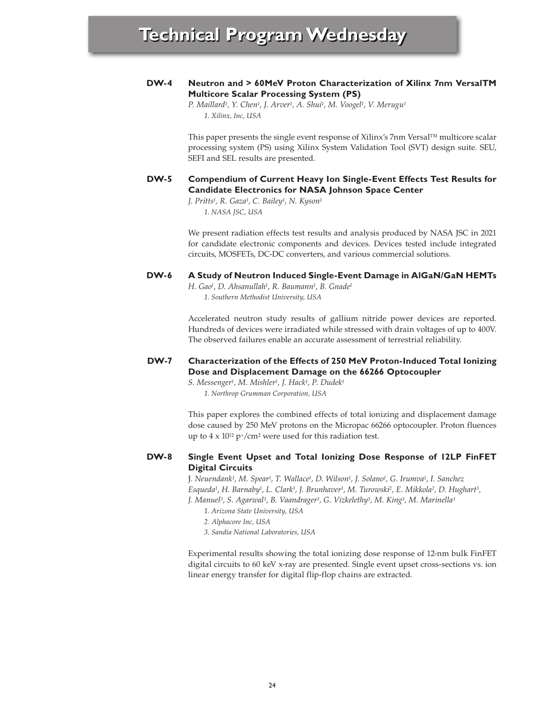## **DW-4 Neutron and > 60MeV Proton Characterization of Xilinx 7nm VersalTM Multicore Scalar Processing System (PS)**

*P. Maillard1, Y. Chen1, J. Arver1, A. Shui1, M. Voogel1, V. Merugu1 1. Xilinx, Inc, USA*

This paper presents the single event response of Xilinx's 7nm Versal™ multicore scalar processing system (PS) using Xilinx System Validation Tool (SVT) design suite. SEU, SEFI and SEL results are presented.

## **DW-5 Compendium of Current Heavy Ion Single-Event Effects Test Results for Candidate Electronics for NASA Johnson Space Center**

*J. Pritts1, R. Gaza1, C. Bailey1, N. Kyson1 1. NASA JSC, USA*

We present radiation effects test results and analysis produced by NASA JSC in 2021 for candidate electronic components and devices. Devices tested include integrated circuits, MOSFETs, DC-DC converters, and various commercial solutions.

### **DW-6 A Study of Neutron Induced Single-Event Damage in AlGaN/GaN HEMTs**

*H. Gao1, D. Ahsanullah1, R. Baumann1, B. Gnade1 1. Southern Methodist University, USA*

Accelerated neutron study results of gallium nitride power devices are reported. Hundreds of devices were irradiated while stressed with drain voltages of up to 400V. The observed failures enable an accurate assessment of terrestrial reliability.

## **DW-7 Characterization of the Effects of 250 MeV Proton-Induced Total Ionizing Dose and Displacement Damage on the 66266 Optocoupler**

*S. Messenger1, M. Mishler1, J. Hack1, P. Dudek1 1. Northrop Grumman Corporation, USA*

This paper explores the combined effects of total ionizing and displacement damage dose caused by 250 MeV protons on the Micropac 66266 optocoupler. Proton fluences up to  $4 \times 10^{12}$  p<sup>+</sup>/cm<sup>2</sup> were used for this radiation test.

### **DW-8 Single Event Upset and Total Ionizing Dose Response of 12LP FinFET Digital Circuits**

J*. Neuendank1, M. Spear1, T. Wallace1, D. Wilson1, J. Solano1, G. Irumva1, I. Sanchez Esqueda1, H. Barnaby1, L. Clark1, J. Brunhaver1, M. Turowski2, E. Mikkola2, D. Hughart3, J. Manuel3, S. Agarwal3, B. Vaandrager3, G. Vizkelethy3, M. King3, M. Marinella3*

- *1. Arizona State University, USA*
- *2. Alphacore Inc, USA*
- *3. Sandia National Laboratories, USA*

Experimental results showing the total ionizing dose response of 12-nm bulk FinFET digital circuits to 60 keV x-ray are presented. Single event upset cross-sections vs. ion linear energy transfer for digital flip-flop chains are extracted.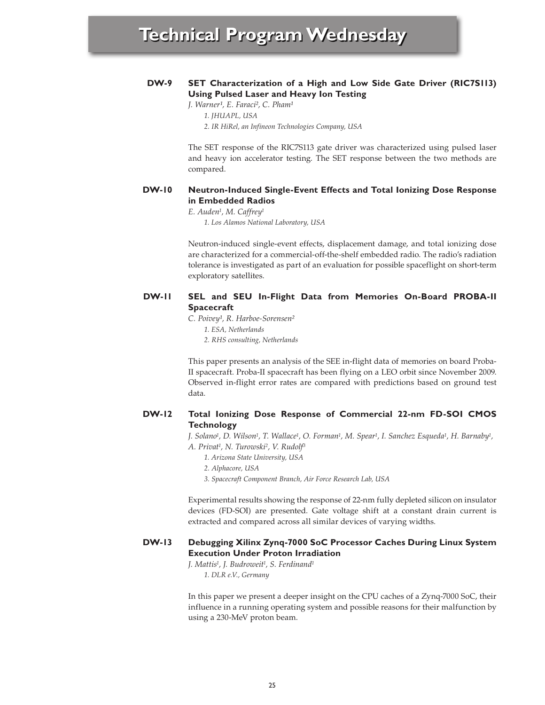### **DW-9 SET Characterization of a High and Low Side Gate Driver (RIC7S113) Using Pulsed Laser and Heavy Ion Testing**

*J. Warner<sup>1</sup>*, *E. Faraci<sup>2</sup>*, *C. Pham<sup>1</sup>* 

*1. JHUAPL, USA*

*2. IR HiRel, an Infineon Technologies Company, USA*

The SET response of the RIC7S113 gate driver was characterized using pulsed laser and heavy ion accelerator testing. The SET response between the two methods are compared.

### **DW-10 Neutron-Induced Single-Event Effects and Total Ionizing Dose Response in Embedded Radios**

*E. Auden1, M. Caffrey1*

*1. Los Alamos National Laboratory, USA*

Neutron-induced single-event effects, displacement damage, and total ionizing dose are characterized for a commercial-off-the-shelf embedded radio. The radio's radiation tolerance is investigated as part of an evaluation for possible spaceflight on short-term exploratory satellites.

## **DW-11 SEL and SEU In-Flight Data from Memories On-Board PROBA-II Spacecraft**

*C. Poivey¹, R. Harboe-Sorensen²*

- *1. ESA, Netherlands*
- *2. RHS consulting, Netherlands*

This paper presents an analysis of the SEE in-flight data of memories on board Proba-II spacecraft. Proba-II spacecraft has been flying on a LEO orbit since November 2009. Observed in-flight error rates are compared with predictions based on ground test data.

### **DW-12 Total Ionizing Dose Response of Commercial 22-nm FD-SOI CMOS Technology**

*J. Solano1, D. Wilson1, T. Wallace1, O. Forman1, M. Spear1, I. Sanchez Esqueda1, H. Barnaby1, A. Privat1, N. Turowski2, V. Rudolf3*

- *1. Arizona State University, USA*
- *2. Alphacore, USA*
- *3. Spacecraft Component Branch, Air Force Research Lab, USA*

Experimental results showing the response of 22-nm fully depleted silicon on insulator devices (FD-SOI) are presented. Gate voltage shift at a constant drain current is extracted and compared across all similar devices of varying widths.

### **DW-13 Debugging Xilinx Zynq-7000 SoC Processor Caches During Linux System Execution Under Proton Irradiation**

*J. Mattis1, J. Budroweit1, S. Ferdinand1 1. DLR e.V., Germany*

In this paper we present a deeper insight on the CPU caches of a Zynq-7000 SoC, their influence in a running operating system and possible reasons for their malfunction by using a 230-MeV proton beam.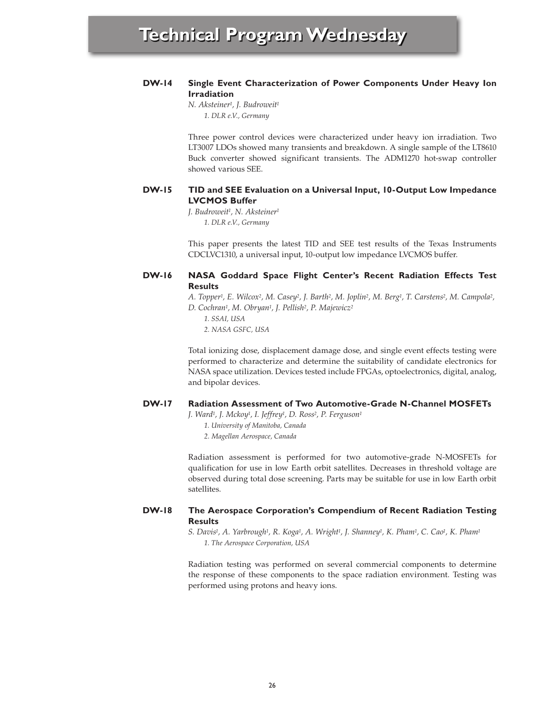## **DW-14 Single Event Characterization of Power Components Under Heavy Ion Irradiation**

*N. Aksteiner1, J. Budroweit1 1. DLR e.V., Germany*

Three power control devices were characterized under heavy ion irradiation. Two LT3007 LDOs showed many transients and breakdown. A single sample of the LT8610 Buck converter showed significant transients. The ADM1270 hot-swap controller showed various SEE.

### **DW-15 TID and SEE Evaluation on a Universal Input, 10-Output Low Impedance LVCMOS Buffer**

*J. Budroweit1, N. Aksteiner1 1. DLR e.V., Germany*

This paper presents the latest TID and SEE test results of the Texas Instruments CDCLVC1310, a universal input, 10-output low impedance LVCMOS buffer.

### **DW-16 NASA Goddard Space Flight Center's Recent Radiation Effects Test Results**

*A. Topper1, E. Wilcox2, M. Casey2, J. Barth2, M. Joplin2, M. Berg1, T. Carstens2, M. Campola2, D. Cochran1, M. Obryan1, J. Pellish2, P. Majewicz2*

*1. SSAI, USA 2. NASA GSFC, USA*

Total ionizing dose, displacement damage dose, and single event effects testing were performed to characterize and determine the suitability of candidate electronics for NASA space utilization. Devices tested include FPGAs, optoelectronics, digital, analog, and bipolar devices.

### **DW-17 Radiation Assessment of Two Automotive-Grade N-Channel MOSFETs**

*J. Ward1, J. Mckoy1, I. Jeffrey1, D. Ross2, P. Ferguson1*

- *1. University of Manitoba, Canada*
- *2. Magellan Aerospace, Canada*

Radiation assessment is performed for two automotive-grade N-MOSFETs for qualification for use in low Earth orbit satellites. Decreases in threshold voltage are observed during total dose screening. Parts may be suitable for use in low Earth orbit satellites.

## **DW-18 The Aerospace Corporation's Compendium of Recent Radiation Testing Results**

*S. Davis1, A. Yarbrough1, R. Koga1, A. Wright1, J. Shanney1, K. Pham1, C. Cao1, K. Pham1 1. The Aerospace Corporation, USA*

Radiation testing was performed on several commercial components to determine the response of these components to the space radiation environment. Testing was performed using protons and heavy ions.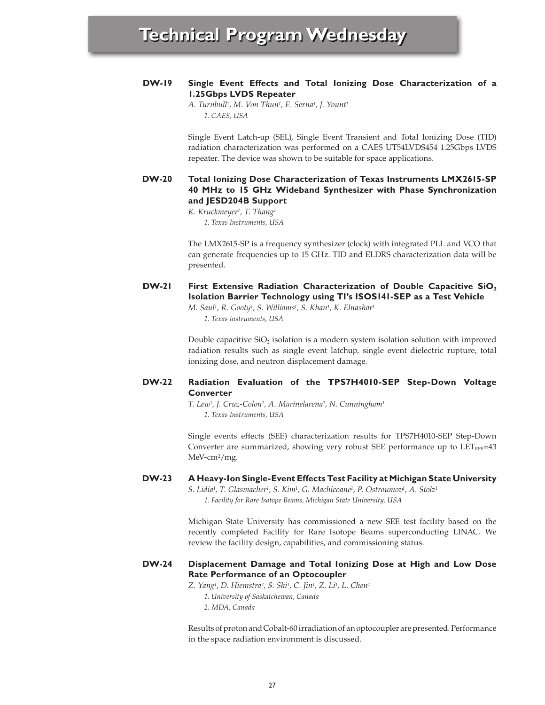## **DW-19 Single Event Effects and Total Ionizing Dose Characterization of a 1.25Gbps LVDS Repeater**

*A. Turnbull1, M. Von Thun1, E. Serna1, J. Yount1 1. CAES, USA*

Single Event Latch-up (SEL), Single Event Transient and Total Ionizing Dose (TID) radiation characterization was performed on a CAES UT54LVDS454 1.25Gbps LVDS repeater. The device was shown to be suitable for space applications.

## **DW-20 Total Ionizing Dose Characterization of Texas Instruments LMX2615-SP 40 MHz to 15 GHz Wideband Synthesizer with Phase Synchronization and JESD204B Support**

*K. Kruckmeyer1, T. Thang1 1. Texas Instruments, USA*

The LMX2615-SP is a frequency synthesizer (clock) with integrated PLL and VCO that can generate frequencies up to 15 GHz. TID and ELDRS characterization data will be presented.

## **DW-21 First Extensive Radiation Characterization of Double Capacitive SiO**<sub>2</sub> **Isolation Barrier Technology using TI's ISOS141-SEP as a Test Vehicle**

*M. Saul1, R. Gooty1, S. Williams1, S. Khan1, K. Elnashar1 1. Texas instruments, USA*

Double capacitive  $SiO<sub>2</sub>$  isolation is a modern system isolation solution with improved radiation results such as single event latchup, single event dielectric rupture, total ionizing dose, and neutron displacement damage.

## **DW-22 Radiation Evaluation of the TPS7H4010-SEP Step-Down Voltage Converter**

*T. Lew1, J. Cruz-Colon1, A. Marinelarena1, N. Cunningham1 1. Texas Instruments, USA*

Single events effects (SEE) characterization results for TPS7H4010-SEP Step-Down Converter are summarized, showing very robust SEE performance up to  $LET_{EFF}=43$ MeV-cm2/mg.

### **DW-23 A Heavy-Ion Single-Event Effects Test Facility at Michigan State University** *S. Lidia1, T. Glasmacher1, S. Kim1, G. Machicoane1, P. Ostroumov1, A. Stolz1*

*1. Facility for Rare Isotope Beams, Michigan State University, USA*

Michigan State University has commissioned a new SEE test facility based on the recently completed Facility for Rare Isotope Beams superconducting LINAC. We review the facility design, capabilities, and commissioning status.

## **DW-24 Displacement Damage and Total Ionizing Dose at High and Low Dose Rate Performance of an Optocoupler**

*Z. Yang1, D. Hiemstra2, S. Shi1, C. Jin1, Z. Li1, L. Chen1 1. University of Saskatchewan, Canada 2. MDA, Canada*

Results of proton and Cobalt-60 irradiation of an optocoupler are presented. Performance in the space radiation environment is discussed.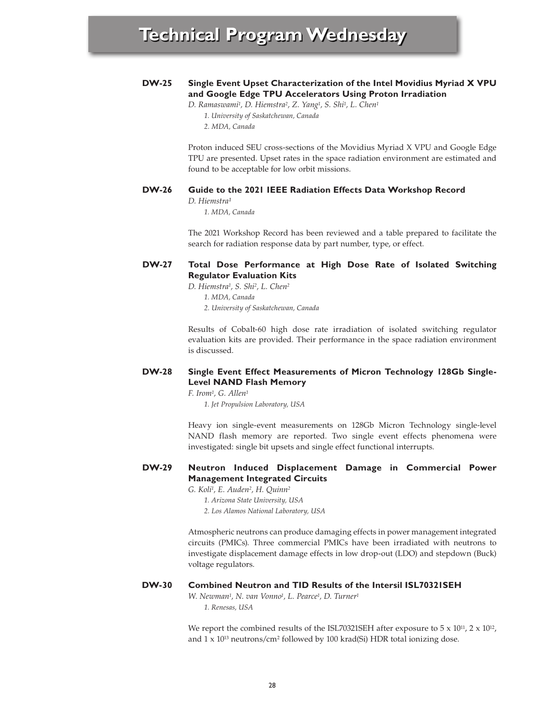

*D. Hiemstra1, S. Shi2, L. Chen2*

*1. MDA, Canada*

*2. University of Saskatchewan, Canada*

Results of Cobalt-60 high dose rate irradiation of isolated switching regulator evaluation kits are provided. Their performance in the space radiation environment is discussed.

### **DW-28 Single Event Effect Measurements of Micron Technology 128Gb Single-Level NAND Flash Memory**

*F. Irom1, G. Allen1 1. Jet Propulsion Laboratory, USA*

Heavy ion single-event measurements on 128Gb Micron Technology single-level NAND flash memory are reported. Two single event effects phenomena were investigated: single bit upsets and single effect functional interrupts.

### **DW-29 Neutron Induced Displacement Damage in Commercial Power Management Integrated Circuits**

*G. Koli1, E. Auden2, H. Quinn2*

- *1. Arizona State University, USA*
- *2. Los Alamos National Laboratory, USA*

Atmospheric neutrons can produce damaging effects in power management integrated circuits (PMICs). Three commercial PMICs have been irradiated with neutrons to investigate displacement damage effects in low drop-out (LDO) and stepdown (Buck) voltage regulators.

#### **DW-30 Combined Neutron and TID Results of the Intersil ISL70321SEH**

*W. Newman1, N. van Vonno1, L. Pearce1, D. Turner1 1. Renesas, USA*

We report the combined results of the ISL70321SEH after exposure to  $5 \times 10^{11}$ ,  $2 \times 10^{12}$ , and 1 x 1013 neutrons/cm2 followed by 100 krad(Si) HDR total ionizing dose.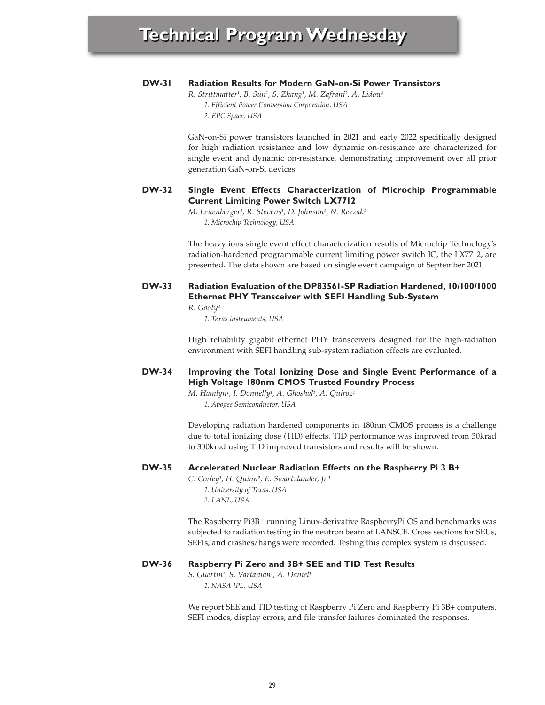### **DW-31 Radiation Results for Modern GaN-on-Si Power Transistors**

*R. Strittmatter1, B. Sun1, S. Zhang1, M. Zafrani2, A. Lidow1*

*1. Efficient Power Conversion Corporation, USA*

*2. EPC Space, USA*

GaN-on-Si power transistors launched in 2021 and early 2022 specifically designed for high radiation resistance and low dynamic on-resistance are characterized for single event and dynamic on-resistance, demonstrating improvement over all prior generation GaN-on-Si devices.

### **DW-32 Single Event Effects Characterization of Microchip Programmable Current Limiting Power Switch LX7712**

*M. Leuenberger1, R. Stevens1, D. Johnson1, N. Rezzak1 1. Microchip Technology, USA*

The heavy ions single event effect characterization results of Microchip Technology's radiation-hardened programmable current limiting power switch IC, the LX7712, are presented. The data shown are based on single event campaign of September 2021

## **DW-33 Radiation Evaluation of the DP83561-SP Radiation Hardened, 10/100/1000 Ethernet PHY Transceiver with SEFI Handling Sub-System**

 $R.$  Gooty<sup>1</sup>

*1. Texas instruments, USA*

High reliability gigabit ethernet PHY transceivers designed for the high-radiation environment with SEFI handling sub-system radiation effects are evaluated.

## **DW-34 Improving the Total Ionizing Dose and Single Event Performance of a High Voltage 180nm CMOS Trusted Foundry Process**

*M. Hamlyn1, I. Donnelly1, A. Ghoshal1, A. Quiroz1 1. Apogee Semiconductor, USA*

Developing radiation hardened components in 180nm CMOS process is a challenge due to total ionizing dose (TID) effects. TID performance was improved from 30krad to 300krad using TID improved transistors and results will be shown.

#### **DW-35 Accelerated Nuclear Radiation Effects on the Raspberry Pi 3 B+**

*C. Corley1, H. Quinn2, E. Swartzlander, Jr.1 1. University of Texas, USA 2. LANL, USA*

The Raspberry Pi3B+ running Linux-derivative RaspberryPi OS and benchmarks was subjected to radiation testing in the neutron beam at LANSCE. Cross sections for SEUs, SEFIs, and crashes/hangs were recorded. Testing this complex system is discussed.

#### **DW-36 Raspberry Pi Zero and 3B+ SEE and TID Test Results**

*S. Guertin1, S. Vartanian1, A. Daniel1 1. NASA JPL, USA*

We report SEE and TID testing of Raspberry Pi Zero and Raspberry Pi 3B+ computers. SEFI modes, display errors, and file transfer failures dominated the responses.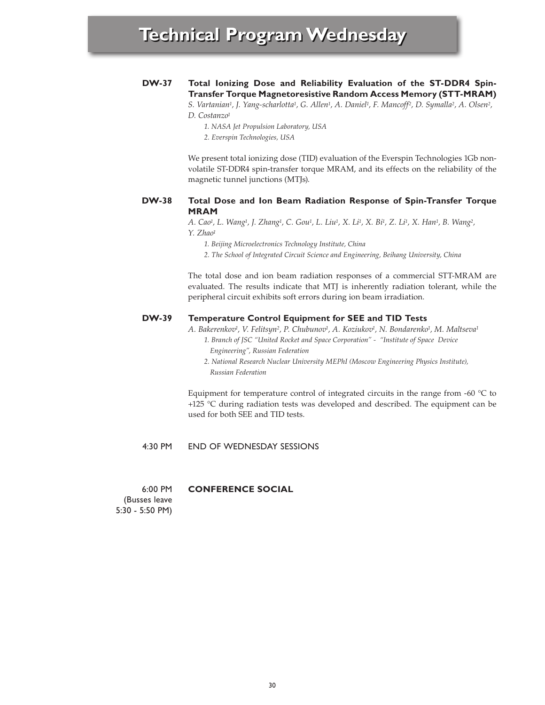## **DW-37 Total Ionizing Dose and Reliability Evaluation of the ST-DDR4 Spin-Transfer Torque Magnetoresistive Random Access Memory (STT-MRAM)**

*S. Vartanian1, J. Yang-scharlotta1, G. Allen1, A. Daniel1, F. Mancoff2, D. Symalla2, A. Olsen2, D. Costanzo1*

*1. NASA Jet Propulsion Laboratory, USA*

*2. Everspin Technologies, USA*

We present total ionizing dose (TID) evaluation of the Everspin Technologies 1Gb nonvolatile ST-DDR4 spin-transfer torque MRAM, and its effects on the reliability of the magnetic tunnel junctions (MTJs).

### **DW-38 Total Dose and Ion Beam Radiation Response of Spin-Transfer Torque MRAM**

*A. Cao1, L. Wang1, J. Zhang1, C. Gou1, L. Liu1, X. Li1, X. Bi1, Z. Li1, X. Han1, B. Wang2, Y. Zhao1*

*1. Beijing Microelectronics Technology Institute, China*

*2. The School of Integrated Circuit Science and Engineering, Beihang University, China*

The total dose and ion beam radiation responses of a commercial STT-MRAM are evaluated. The results indicate that MTJ is inherently radiation tolerant, while the peripheral circuit exhibits soft errors during ion beam irradiation.

### **DW-39 Temperature Control Equipment for SEE and TID Tests**

*A. Bakerenkov1, V. Felitsyn2, P. Chubunov1, A. Koziukov1, N. Bondarenko1, M. Maltseva1*

- *1. Branch of JSC "United Rocket and Space Corporation" "Institute of Space Device Engineering", Russian Federation*
- *2. National Research Nuclear University MEPhI (Moscow Engineering Physics Institute), Russian Federation*

Equipment for temperature control of integrated circuits in the range from -60 °C to +125 °C during radiation tests was developed and described. The equipment can be used for both SEE and TID tests.

#### 4:30 PM END OF WEDNESDAY SESSIONS

6:00 PM **CONFERENCE SOCIAL**

(Busses leave 5:30 - 5:50 PM)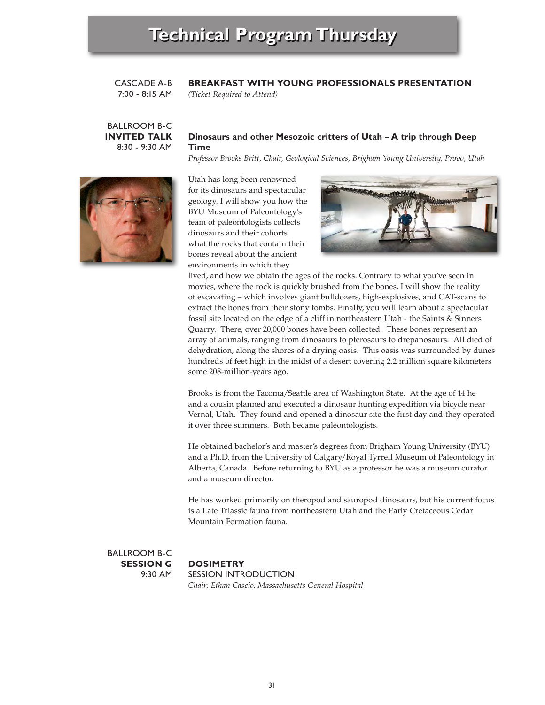### CASCADE A-B **BREAKFAST WITH YOUNG PROFESSIONALS PRESENTATION**

7:00 - 8:15 AM *(Ticket Required to Attend)*

BALLROOM B-C

# **Dinosaurs and other Mesozoic critters of Utah – A trip through Deep Time**

*Professor Brooks Britt, Chair, Geological Sciences, Brigham Young University, Provo, Utah*



**INVITED TALK** 8:30 - 9:30 AM

> Utah has long been renowned for its dinosaurs and spectacular geology. I will show you how the BYU Museum of Paleontology's team of paleontologists collects dinosaurs and their cohorts, what the rocks that contain their bones reveal about the ancient environments in which they



lived, and how we obtain the ages of the rocks. Contrary to what you've seen in movies, where the rock is quickly brushed from the bones, I will show the reality of excavating – which involves giant bulldozers, high-explosives, and CAT-scans to extract the bones from their stony tombs. Finally, you will learn about a spectacular fossil site located on the edge of a cliff in northeastern Utah - the Saints & Sinners Quarry. There, over 20,000 bones have been collected. These bones represent an array of animals, ranging from dinosaurs to pterosaurs to drepanosaurs. All died of dehydration, along the shores of a drying oasis. This oasis was surrounded by dunes hundreds of feet high in the midst of a desert covering 2.2 million square kilometers some 208-million-years ago.

Brooks is from the Tacoma/Seattle area of Washington State. At the age of 14 he and a cousin planned and executed a dinosaur hunting expedition via bicycle near Vernal, Utah. They found and opened a dinosaur site the first day and they operated it over three summers. Both became paleontologists.

He obtained bachelor's and master's degrees from Brigham Young University (BYU) and a Ph.D. from the University of Calgary/Royal Tyrrell Museum of Paleontology in Alberta, Canada. Before returning to BYU as a professor he was a museum curator and a museum director.

He has worked primarily on theropod and sauropod dinosaurs, but his current focus is a Late Triassic fauna from northeastern Utah and the Early Cretaceous Cedar Mountain Formation fauna.

BALLROOM B-C **SESSION G** 9:30 AM

**DOSIMETRY** SESSION INTRODUCTION *Chair: Ethan Cascio, Massachusetts General Hospital*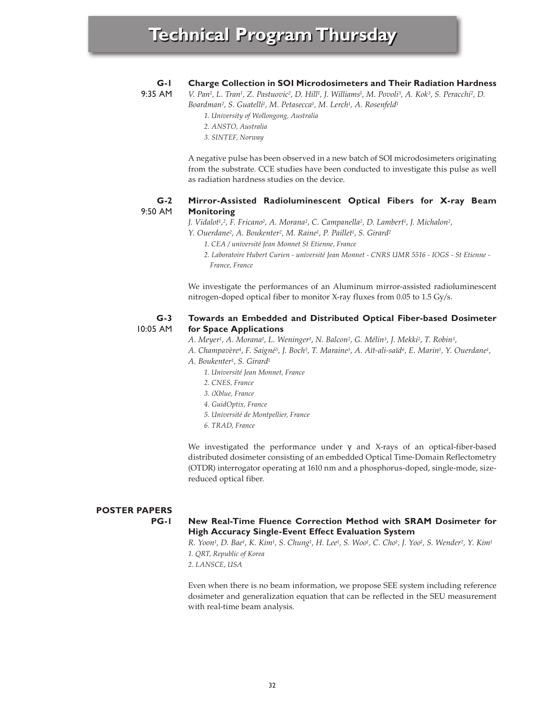#### **G-1 Charge Collection in SOI Microdosimeters and Their Radiation Hardness**

9:35 AM

- *V. Pan1, L. Tran1, Z. Pastuovic2, D. Hill1, J. Williams1, M. Povoli3, A. Kok3, S. Peracchi2, D. Boardman2, S. Guatelli1, M. Petasecca1, M. Lerch1, A. Rosenfeld1*
	- *1. University of Wollongong, Australia*
	- *2. ANSTO, Australia*
	- *3. SINTEF, Norway*

A negative pulse has been observed in a new batch of SOI microdosimeters originating from the substrate. CCE studies have been conducted to investigate this pulse as well as radiation hardness studies on the device.

### **G-2** 9:50 AM **Mirror-Assisted Radioluminescent Optical Fibers for X-ray Beam Monitoring**

*J. Vidalot1,2, F. Fricano2, A. Morana2, C. Campanella2, D. Lambert1, J. Michalon2,*

- *Y. Ouerdane2, A. Boukenter2, M. Raine1, P. Paillet1, S. Girard2*
	- *1. CEA / université Jean Monnet St Etienne, France*
		- *2. Laboratoire Hubert Curien université Jean Monnet CNRS UMR 5516 IOGS St Etienne - France, France*

We investigate the performances of an Aluminum mirror-assisted radioluminescent nitrogen-doped optical fiber to monitor X-ray fluxes from 0.05 to 1.5 Gy/s.

### **G-3** 10:05 AM **Towards an Embedded and Distributed Optical Fiber-based Dosimeter for Space Applications**

*A. Meyer1, A. Morana1, L. Weninger1, N. Balcon2, G. Mélin3, J. Mekki2, T. Robin3,*

- *A. Champavère4, F. Saigné5, J. Boch5, T. Maraine5, A. Aït-ali-saïd6, E. Marin1, Y. Ouerdane1,*
- *A. Boukenter1, S. Girard1*
	- *1. Université Jean Monnet, France*
	- *2. CNES, France*
	- *3. iXblue, France*
	- *4. GuidOptix, France*
	- *5. Université de Montpellier, France*
	- *6. TRAD, France*

We investigated the performance under γ and X-rays of an optical-fiber-based distributed dosimeter consisting of an embedded Optical Time-Domain Reflectometry (OTDR) interrogator operating at 1610 nm and a phosphorus-doped, single-mode, sizereduced optical fiber.

# **POSTER PAPERS**

# **PG-1**

# **New Real-Time Fluence Correction Method with SRAM Dosimeter for High Accuracy Single-Event Effect Evaluation System**

*R. Yoon1, D. Bae1, K. Kim1, S. Chung1, H. Lee1, S. Woo1, C. Cho1, J. Yoo1, S. Wender2, Y. Kim1 1. QRT, Republic of Korea*

*2. LANSCE, USA*

Even when there is no beam information, we propose SEE system including reference dosimeter and generalization equation that can be reflected in the SEU measurement with real-time beam analysis.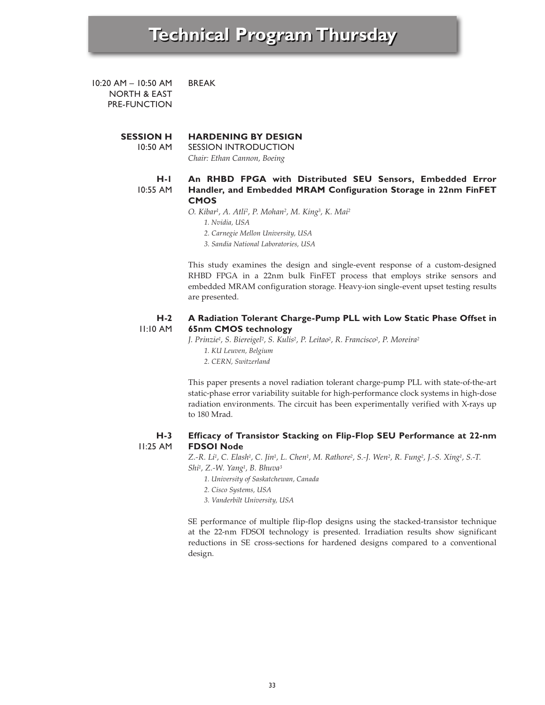10:20 AM – 10:50 AM NORTH & EAST PRE-FUNCTION BREAK

### **SESSION H HARDENING BY DESIGN**

10:50 AM SESSION INTRODUCTION *Chair: Ethan Cannon, Boeing*

#### **H-1 An RHBD FPGA with Distributed SEU Sensors, Embedded Error**

10:55 AM

# **Handler, and Embedded MRAM Configuration Storage in 22nm FinFET CMOS**

*O. Kibar1, A. Atli2, P. Mohan2, M. King3, K. Mai2*

- *1. Nvidia, USA*
- *2. Carnegie Mellon University, USA*
- *3. Sandia National Laboratories, USA*

This study examines the design and single-event response of a custom-designed RHBD FPGA in a 22nm bulk FinFET process that employs strike sensors and embedded MRAM configuration storage. Heavy-ion single-event upset testing results are presented.

### **H-2** 11:10 AM **A Radiation Tolerant Charge-Pump PLL with Low Static Phase Offset in 65nm CMOS technology**

*J. Prinzie1, S. Biereigel2, S. Kulis2, P. Leitao2, R. Francisco2, P. Moreira2 1. KU Leuven, Belgium 2. CERN, Switzerland*

This paper presents a novel radiation tolerant charge-pump PLL with state-of-the-art static-phase error variability suitable for high-performance clock systems in high-dose radiation environments. The circuit has been experimentally verified with X-rays up to 180 Mrad.

### **H-3** 11:25 AM **Efficacy of Transistor Stacking on Flip-Flop SEU Performance at 22-nm FDSOI Node**

*Z.-R. Li1, C. Elash1, C. Jin1, L. Chen1, M. Rathore2, S.-J. Wen2, R. Fung2, J.-S. Xing1, S.-T. Shi1, Z.-W. Yang1, B. Bhuva3*

*1. University of Saskatchewan, Canada*

- *2. Cisco Systems, USA*
- *3. Vanderbilt University, USA*

SE performance of multiple flip-flop designs using the stacked-transistor technique at the 22-nm FDSOI technology is presented. Irradiation results show significant reductions in SE cross-sections for hardened designs compared to a conventional design.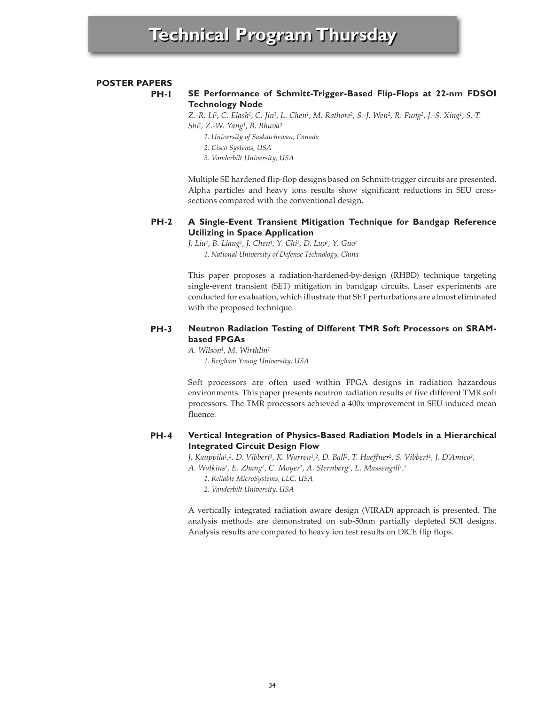# **POSTER PAPERS**

**PH-1**

# **SE Performance of Schmitt-Trigger-Based Flip-Flops at 22-nm FDSOI Technology Node**

*Z.-R. Li1, C. Elash1, C. Jin1, L. Chen1, M. Rathore2, S.-J. Wen2, R. Fung2, J.-S. Xing1, S.-T. Shi1, Z.-W. Yang1, B. Bhuva3*

- *1. University of Saskatchewan, Canada*
- *2. Cisco Systems, USA*
- *3. Vanderbilt University, USA*

Multiple SE hardened flip-flop designs based on Schmitt-trigger circuits are presented. Alpha particles and heavy ions results show significant reductions in SEU crosssections compared with the conventional design.

### **PH-2 A Single-Event Transient Mitigation Technique for Bandgap Reference Utilizing in Space Application**

*J. Liu1, B. Liang1, J. Chen1, Y. Chi1, D. Luo1, Y. Guo1 1. National University of Defense Technology, China*

This paper proposes a radiation-hardened-by-design (RHBD) technique targeting single-event transient (SET) mitigation in bandgap circuits. Laser experiments are conducted for evaluation, which illustrate that SET perturbations are almost eliminated with the proposed technique.

## **PH-3 Neutron Radiation Testing of Different TMR Soft Processors on SRAMbased FPGAs**

*A. Wilson1, M. Wirthlin1 1. Brigham Young University, USA*

Soft processors are often used within FPGA designs in radiation hazardous environments. This paper presents neutron radiation results of five different TMR soft processors. The TMR processors achieved a 400x improvement in SEU-induced mean fluence.

### **PH-4 Vertical Integration of Physics-Based Radiation Models in a Hierarchical Integrated Circuit Design Flow**

*J. Kauppila1,2, D. Vibbert1, K. Warren1,2, D. Ball2, T. Haeffner2, S. Vibbert2, J. D'Amico2, A. Watkins2, E. Zhang2, C. Moyer1, A. Sternberg2, L. Massengill1,2*

*1. Reliable MicroSystems, LLC, USA*

*2. Vanderbilt University, USA*

A vertically integrated radiation aware design (VIRAD) approach is presented. The analysis methods are demonstrated on sub-50nm partially depleted SOI designs. Analysis results are compared to heavy ion test results on DICE flip flops.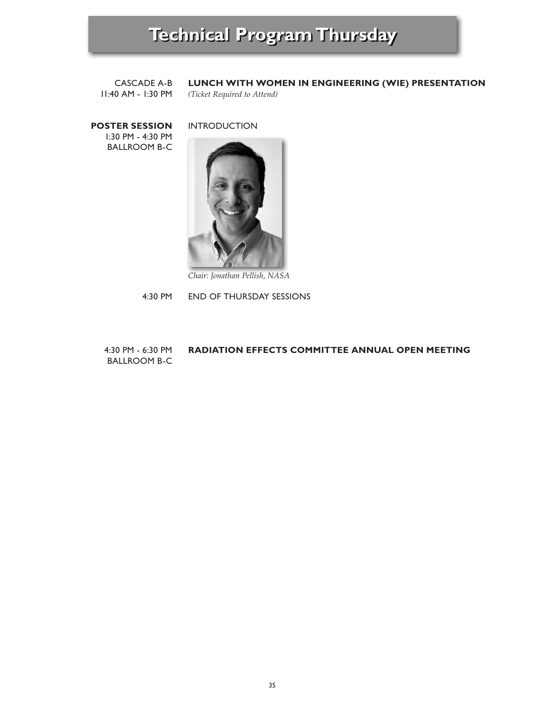CASCADE A-B 11:40 AM - 1:30 PM

# **LUNCH WITH WOMEN IN ENGINEERING (WIE) PRESENTATION**

*(Ticket Required to Attend)*

**POSTER SESSION** 1:30 PM - 4:30 PM BALLROOM B-C

INTRODUCTION



*Chair: Jonathan Pellish, NASA*

4:30 PM END OF THURSDAY SESSIONS

### 4:30 PM - 6:30 PM BALLROOM B-C **RADIATION EFFECTS COMMITTEE ANNUAL OPEN MEETING**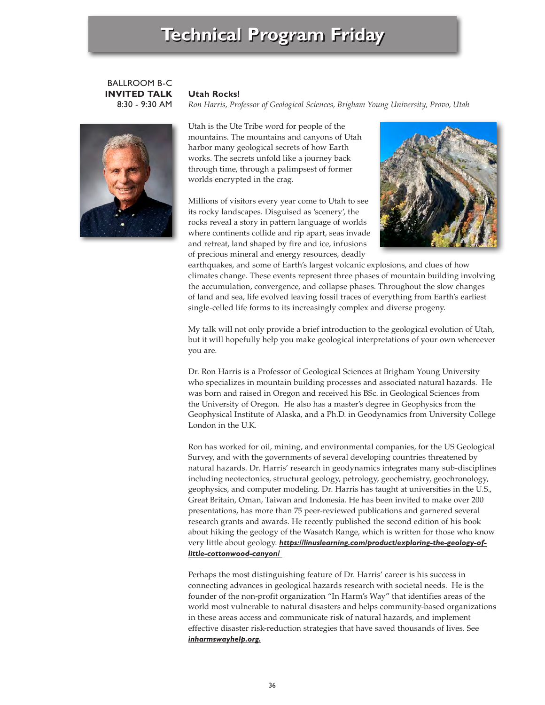# **Technical Program Friday**

# BALLROOM B-C **INVITED TALK** 8:30 - 9:30 AM



# **Utah Rocks!**

*Ron Harris, Professor of Geological Sciences, Brigham Young University, Provo, Utah*

Utah is the Ute Tribe word for people of the mountains. The mountains and canyons of Utah harbor many geological secrets of how Earth works. The secrets unfold like a journey back through time, through a palimpsest of former worlds encrypted in the crag.

Millions of visitors every year come to Utah to see its rocky landscapes. Disguised as 'scenery', the rocks reveal a story in pattern language of worlds where continents collide and rip apart, seas invade and retreat, land shaped by fire and ice, infusions of precious mineral and energy resources, deadly



earthquakes, and some of Earth's largest volcanic explosions, and clues of how climates change. These events represent three phases of mountain building involving the accumulation, convergence, and collapse phases. Throughout the slow changes of land and sea, life evolved leaving fossil traces of everything from Earth's earliest single-celled life forms to its increasingly complex and diverse progeny.

My talk will not only provide a brief introduction to the geological evolution of Utah, but it will hopefully help you make geological interpretations of your own whereever you are.

Dr. Ron Harris is a Professor of Geological Sciences at Brigham Young University who specializes in mountain building processes and associated natural hazards. He was born and raised in Oregon and received his BSc. in Geological Sciences from the University of Oregon. He also has a master's degree in Geophysics from the Geophysical Institute of Alaska, and a Ph.D. in Geodynamics from University College London in the U.K.

Ron has worked for oil, mining, and environmental companies, for the US Geological Survey, and with the governments of several developing countries threatened by natural hazards. Dr. Harris' research in geodynamics integrates many sub-disciplines including neotectonics, structural geology, petrology, geochemistry, geochronology, geophysics, and computer modeling. Dr. Harris has taught at universities in the U.S., Great Britain, Oman, Taiwan and Indonesia. He has been invited to make over 200 presentations, has more than 75 peer-reviewed publications and garnered several research grants and awards. He recently published the second edition of his book about hiking the geology of the Wasatch Range, which is written for those who know very little about geology. *https://linuslearning.com/product/exploring-the-geology-oflittle-cottonwood-canyon/* 

Perhaps the most distinguishing feature of Dr. Harris' career is his success in connecting advances in geological hazards research with societal needs. He is the founder of the non-profit organization "In Harm's Way" that identifies areas of the world most vulnerable to natural disasters and helps community-based organizations in these areas access and communicate risk of natural hazards, and implement effective disaster risk-reduction strategies that have saved thousands of lives. See *inharmswayhelp.org.*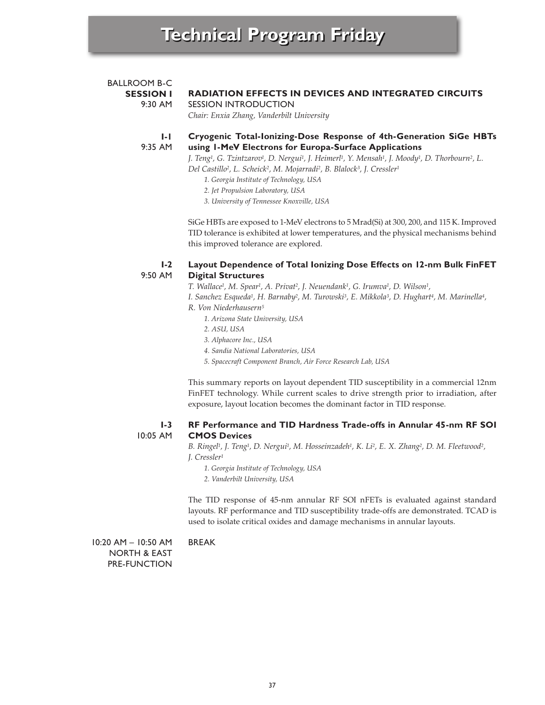# **SESSION I** 9:30 AM **I-1** 9:35 AM **RADIATION EFFECTS IN DEVICES AND INTEGRATED CIRCUITS** SESSION INTRODUCTION *Chair: Enxia Zhang, Vanderbilt University* **Cryogenic Total-Ionizing-Dose Response of 4th-Generation SiGe HBTs using 1-MeV Electrons for Europa-Surface Applications** *J. Teng1, G. Tzintzarov1, D. Nergui1, J. Heimerl1, Y. Mensah1, J. Moody1, D. Thorbourn2, L. Del Castillo2, L. Scheick2, M. Mojarradi2, B. Blalock3, J. Cressler1 1. Georgia Institute of Technology, USA 2. Jet Propulsion Laboratory, USA 3. University of Tennessee Knoxville, USA* SiGe HBTs are exposed to 1-MeV electrons to 5 Mrad(Si) at 300, 200, and 115 K. Improved

TID tolerance is exhibited at lower temperatures, and the physical mechanisms behind this improved tolerance are explored.

### **I-2** 9:50 AM **Layout Dependence of Total Ionizing Dose Effects on 12-nm Bulk FinFET Digital Structures**

*T. Wallace1, M. Spear1, A. Privat2, J. Neuendank1, G. Irumva1, D. Wilson1,*

*I. Sanchez Esqueda1, H. Barnaby2, M. Turowski3, E. Mikkola3, D. Hughart4, M. Marinella4,*

- *R. Von Niederhausern5*
	- *1. Arizona State University, USA*
	- *2. ASU, USA*
	- *3. Alphacore Inc., USA*
	- *4. Sandia National Laboratories, USA*

*5. Spacecraft Component Branch, Air Force Research Lab, USA*

This summary reports on layout dependent TID susceptibility in a commercial 12nm FinFET technology. While current scales to drive strength prior to irradiation, after exposure, layout location becomes the dominant factor in TID response.

### **I-3** 10:05 AM **RF Performance and TID Hardness Trade-offs in Annular 45-nm RF SOI CMOS Devices**

*B. Ringel1, J. Teng1, D. Nergui1, M. Hosseinzadeh1, K. Li2, E. X. Zhang2, D. M. Fleetwood2, J. Cressler1*

*1. Georgia Institute of Technology, USA*

*2. Vanderbilt University, USA*

The TID response of 45-nm annular RF SOI nFETs is evaluated against standard layouts. RF performance and TID susceptibility trade-offs are demonstrated. TCAD is used to isolate critical oxides and damage mechanisms in annular layouts.

10:20 AM – 10:50 AM NORTH & EAST PRE-FUNCTION BREAK

BALLROOM B-C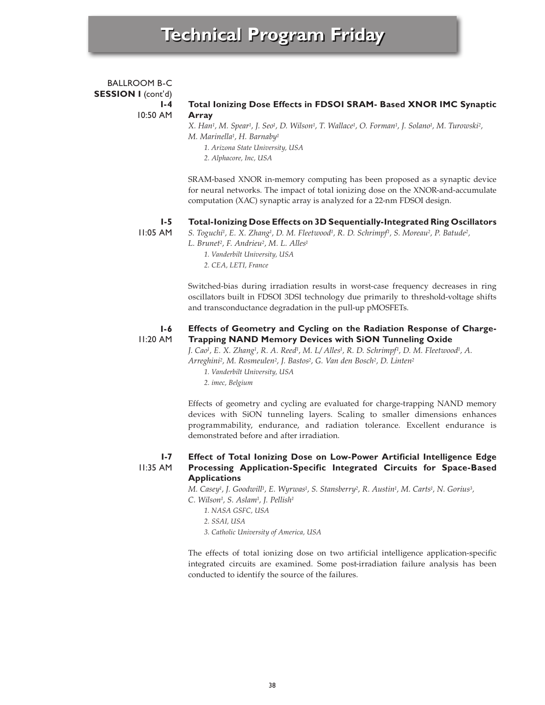## BALLROOM B-C **SESSION I** (cont'd) **I-4** 10:50 AM **Total Ionizing Dose Effects in FDSOI SRAM- Based XNOR IMC Synaptic Array**

*X. Han1, M. Spear1, J. Seo1, D. Wilson1, T. Wallace1, O. Forman1, J. Solano1, M. Turowski2, M. Marinella1, H. Barnaby1*

*1. Arizona State University, USA*

*2. Alphacore, Inc, USA*

SRAM-based XNOR in-memory computing has been proposed as a synaptic device for neural networks. The impact of total ionizing dose on the XNOR-and-accumulate computation (XAC) synaptic array is analyzed for a 22-nm FDSOI design.

### **I-5 Total-Ionizing Dose Effects on 3D Sequentially-Integrated Ring Oscillators**

11:05 AM

*S. Toguchi1, E. X. Zhang1, D. M. Fleetwood1, R. D. Schrimpf1, S. Moreau2, P. Batude2,*

*L. Brunet2, F. Andrieu2, M. L. Alles1*

*1. Vanderbilt University, USA 2. CEA, LETI, France*

Switched-bias during irradiation results in worst-case frequency decreases in ring oscillators built in FDSOI 3DSI technology due primarily to threshold-voltage shifts and transconductance degradation in the pull-up pMOSFETs.

### **I-6** 11:20 AM **Effects of Geometry and Cycling on the Radiation Response of Charge-Trapping NAND Memory Devices with SiON Tunneling Oxide**

*J. Cao1, E. X. Zhang1, R. A. Reed1, M. L/ Alles1, R. D. Schrimpf1, D. M. Fleetwood1, A. Arreghini2, M. Rosmeulen2, J. Bastos2, G. Van den Bosch2, D. Linten2*

*1. Vanderbilt University, USA*

*2. imec, Belgium*

Effects of geometry and cycling are evaluated for charge-trapping NAND memory devices with SiON tunneling layers. Scaling to smaller dimensions enhances programmability, endurance, and radiation tolerance. Excellent endurance is demonstrated before and after irradiation.

### **I-7** 11:35 AM **Effect of Total Ionizing Dose on Low-Power Artificial Intelligence Edge Processing Application-Specific Integrated Circuits for Space-Based Applications**

*M. Casey1, J. Goodwill1, E. Wyrwas1, S. Stansberry2, R. Austin1, M. Carts1, N. Gorius3,*

- *C. Wilson1, S. Aslam1, J. Pellish1*
	- *1. NASA GSFC, USA*
	- *2. SSAI, USA*

*3. Catholic University of America, USA*

The effects of total ionizing dose on two artificial intelligence application-specific integrated circuits are examined. Some post-irradiation failure analysis has been conducted to identify the source of the failures.